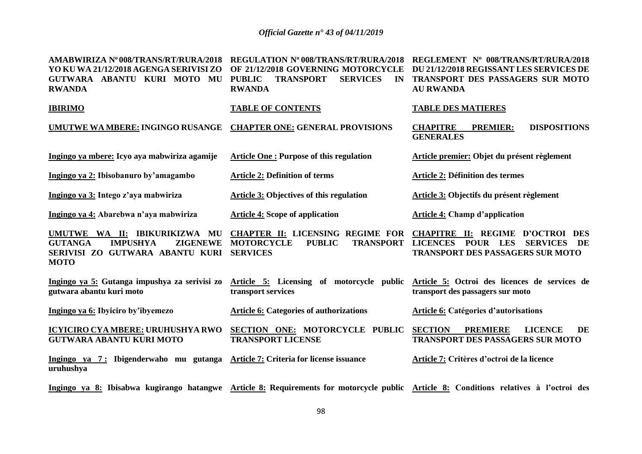| AMABWIRIZA Nº 008/TRANS/RT/RURA/2018<br>YO KU WA 21/12/2018 AGENGA SERIVISI ZO<br>GUTWARA ABANTU KURI MOTO MU<br><b>RWANDA</b>          | <b>REGULATION Nº 008/TRANS/RT/RURA/2018</b><br>OF 21/12/2018 GOVERNING MOTORCYCLE<br><b>TRANSPORT</b><br><b>SERVICES</b><br><b>PUBLIC</b><br>IN<br><b>RWANDA</b> | REGLEMENT Nº 008/TRANS/RT/RURA/2018<br>DU 21/12/2018 REGISSANT LES SERVICES DE<br>TRANSPORT DES PASSAGERS SUR MOTO<br><b>AU RWANDA</b> |  |  |
|-----------------------------------------------------------------------------------------------------------------------------------------|------------------------------------------------------------------------------------------------------------------------------------------------------------------|----------------------------------------------------------------------------------------------------------------------------------------|--|--|
| <b>IBIRIMO</b>                                                                                                                          | <b>TABLE OF CONTENTS</b>                                                                                                                                         | <b>TABLE DES MATIERES</b>                                                                                                              |  |  |
| UMUTWE WA MBERE: INGINGO RUSANGE                                                                                                        | <b>CHAPTER ONE: GENERAL PROVISIONS</b>                                                                                                                           | <b>CHAPITRE</b><br><b>DISPOSITIONS</b><br><b>PREMIER:</b><br><b>GENERALES</b>                                                          |  |  |
| Ingingo ya mbere: Icyo aya mabwiriza agamije                                                                                            | <b>Article One: Purpose of this regulation</b>                                                                                                                   | Article premier: Objet du présent règlement                                                                                            |  |  |
| Ingingo ya 2: Ibisobanuro by'amagambo                                                                                                   | <b>Article 2: Definition of terms</b>                                                                                                                            | <b>Article 2: Définition des termes</b>                                                                                                |  |  |
| Ingingo ya 3: Intego z'aya mabwiriza                                                                                                    | <b>Article 3: Objectives of this regulation</b>                                                                                                                  | Article 3: Objectifs du présent règlement                                                                                              |  |  |
| Ingingo ya 4: Abarebwa n'aya mabwiriza                                                                                                  | <b>Article 4: Scope of application</b>                                                                                                                           | <b>Article 4: Champ d'application</b>                                                                                                  |  |  |
| UMUTWE WA II: IBIKURIKIZWA MU<br><b>GUTANGA</b><br><b>IMPUSHYA</b><br><b>ZIGENEWE</b><br>SERIVISI ZO GUTWARA ABANTU KURI<br><b>MOTO</b> | CHAPTER II: LICENSING REGIME FOR CHAPITRE II: REGIME D'OCTROI DES<br><b>MOTORCYCLE</b><br><b>PUBLIC</b><br><b>TRANSPORT</b><br><b>SERVICES</b>                   | LICENCES POUR LES<br><b>SERVICES</b><br>- DE<br><b>TRANSPORT DES PASSAGERS SUR MOTO</b>                                                |  |  |
| Ingingo ya 5: Gutanga impushya za serivisi zo<br>gutwara abantu kuri moto                                                               | Article 5: Licensing of motorcycle public<br>transport services                                                                                                  | Article 5: Octroi des licences de services de<br>transport des passagers sur moto                                                      |  |  |
| Ingingo ya 6: Ibyiciro by'ibyemezo                                                                                                      | <b>Article 6: Categories of authorizations</b>                                                                                                                   | Article 6: Catégories d'autorisations                                                                                                  |  |  |
| <b>ICYICIRO CYA MBERE: URUHUSHYA RWO</b><br><b>GUTWARA ABANTU KURI MOTO</b>                                                             | SECTION ONE: MOTORCYCLE PUBLIC<br><b>TRANSPORT LICENSE</b>                                                                                                       | <b>SECTION</b><br><b>PREMIERE</b><br><b>LICENCE</b><br>DE<br><b>TRANSPORT DES PASSAGERS SUR MOTO</b>                                   |  |  |
| Ingingo ya 7: Ibigenderwaho mu gutanga Article 7: Criteria for license issuance<br>uruhushya                                            |                                                                                                                                                                  | Article 7: Critères d'octroi de la licence                                                                                             |  |  |
|                                                                                                                                         |                                                                                                                                                                  | Ingingo ya 8: Ibisabwa kugirango hatangwe Article 8: Requirements for motorcycle public Article 8: Conditions relatives à l'octroi des |  |  |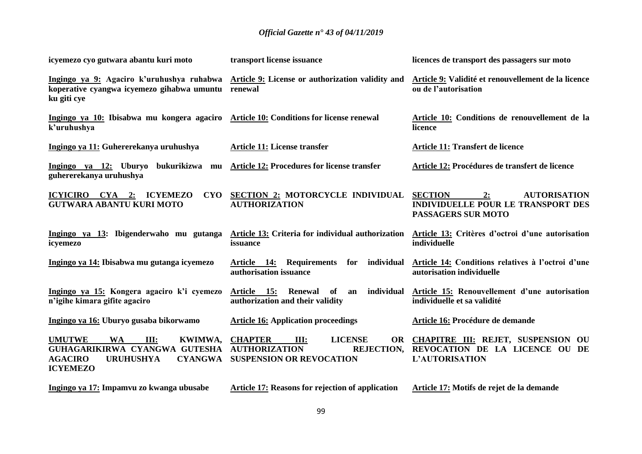| icyemezo cyo gutwara abantu kuri moto                                                                                                                           | transport license issuance                                                                                                            | licences de transport des passagers sur moto                                                                          |  |
|-----------------------------------------------------------------------------------------------------------------------------------------------------------------|---------------------------------------------------------------------------------------------------------------------------------------|-----------------------------------------------------------------------------------------------------------------------|--|
| Ingingo ya 9: Agaciro k'uruhushya ruhabwa Article 9: License or authorization validity and<br>koperative cyangwa icyemezo gihabwa umuntu renewal<br>ku giti cye |                                                                                                                                       | Article 9: Validité et renouvellement de la licence<br>ou de l'autorisation                                           |  |
| Ingingo ya 10: Ibisabwa mu kongera agaciro Article 10: Conditions for license renewal<br>k'uruhushya                                                            |                                                                                                                                       | Article 10: Conditions de renouvellement de la<br>licence                                                             |  |
| Ingingo ya 11: Guhererekanya uruhushya                                                                                                                          | <b>Article 11: License transfer</b>                                                                                                   | <b>Article 11: Transfert de licence</b>                                                                               |  |
| Ingingo ya 12: Uburyo bukurikizwa mu<br>guhererekanya uruhushya                                                                                                 | <b>Article 12: Procedures for license transfer</b>                                                                                    | Article 12: Procédures de transfert de licence                                                                        |  |
| <b>CYO</b><br>ICYICIRO CYA 2: ICYEMEZO<br><b>GUTWARA ABANTU KURI MOTO</b>                                                                                       | <b>SECTION 2: MOTORCYCLE INDIVIDUAL</b><br><b>AUTHORIZATION</b>                                                                       | <b>SECTION</b><br><b>AUTORISATION</b><br>2:<br><b>INDIVIDUELLE POUR LE TRANSPORT DES</b><br><b>PASSAGERS SUR MOTO</b> |  |
| Ingingo ya 13: Ibigenderwaho mu gutanga<br>icyemezo                                                                                                             | <b>Article 13: Criteria for individual authorization</b><br>issuance                                                                  | Article 13: Critères d'octroi d'une autorisation<br>individuelle                                                      |  |
| Ingingo ya 14: Ibisabwa mu gutanga icyemezo                                                                                                                     | individual<br><u>Article 14:</u><br><b>Requirements</b><br>for<br>authorisation issuance                                              | Article 14: Conditions relatives à l'octroi d'une<br>autorisation individuelle                                        |  |
| Ingingo ya 15: Kongera agaciro k'i cyemezo<br>n'igihe kimara gifite agaciro                                                                                     | <b>Renewal</b><br>individual<br>Article 15:<br>of<br>an<br>authorization and their validity                                           | Article 15: Renouvellement d'une autorisation<br>individuelle et sa validité                                          |  |
| Ingingo ya 16: Uburyo gusaba bikorwamo                                                                                                                          | <b>Article 16: Application proceedings</b>                                                                                            | Article 16: Procédure de demande                                                                                      |  |
| <b>UMUTWE</b><br><b>WA</b><br>III:<br>KWIMWA,<br>GUHAGARIKIRWA CYANGWA GUTESHA<br><b>CYANGWA</b><br><b>AGACIRO</b><br><b>URUHUSHYA</b><br><b>ICYEMEZO</b>       | <b>CHAPTER</b><br><b>LICENSE</b><br>III:<br><b>OR</b><br><b>AUTHORIZATION</b><br><b>REJECTION,</b><br><b>SUSPENSION OR REVOCATION</b> | CHAPITRE III: REJET, SUSPENSION OU<br>REVOCATION DE LA LICENCE OU DE<br><b>L'AUTORISATION</b>                         |  |
| Ingingo ya 17: Impamvu zo kwanga ubusabe                                                                                                                        | <b>Article 17: Reasons for rejection of application</b>                                                                               | Article 17: Motifs de rejet de la demande                                                                             |  |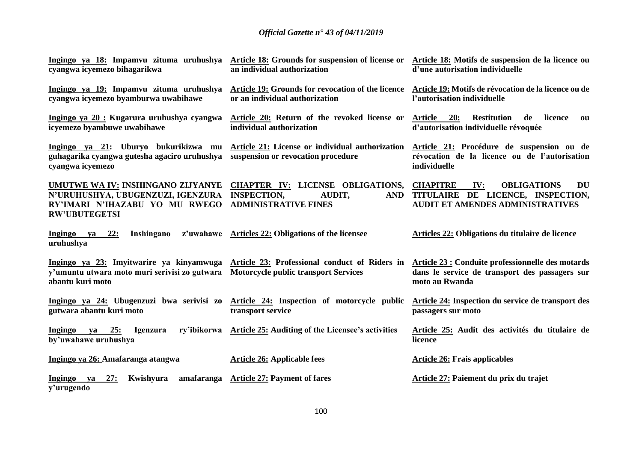| Ingingo ya 18: Impamvu zituma uruhushya<br>cyangwa icyemezo bihagarikwa                                                                                                                          | Article 18: Grounds for suspension of license or<br>an individual authorization                                      | Article 18: Motifs de suspension de la licence ou<br>d'une autorisation individuelle                                  |
|--------------------------------------------------------------------------------------------------------------------------------------------------------------------------------------------------|----------------------------------------------------------------------------------------------------------------------|-----------------------------------------------------------------------------------------------------------------------|
| Ingingo ya 19: Impamvu zituma uruhushya<br>cyangwa icyemezo byamburwa uwabihawe                                                                                                                  | Article 19: Grounds for revocation of the licence<br>or an individual authorization                                  | Article 19: Motifs de révocation de la licence ou de<br>l'autorisation individuelle                                   |
| Ingingo ya 20 : Kugarura uruhushya cyangwa<br>icyemezo byambuwe uwabihawe                                                                                                                        | Article 20: Return of the revoked license or<br>individual authorization                                             | Article 20:<br><b>Restitution</b><br>de<br>licence<br>ou<br>d'autorisation individuelle révoquée                      |
| Ingingo ya 21: Uburyo bukurikizwa mu<br>guhagarika cyangwa gutesha agaciro uruhushya<br>cyangwa icyemezo                                                                                         | Article 21: License or individual authorization<br>suspension or revocation procedure                                | Article 21: Procédure de suspension ou de<br>révocation de la licence ou de l'autorisation<br>individuelle            |
| N'URUHUSHYA, UBUGENZUZI, IGENZURA INSPECTION,<br>RY'IMARI N'IHAZABU YO MU RWEGO<br><b>RW'UBUTEGETSI</b>                                                                                          | UMUTWE WA IV: INSHINGANO ZIJYANYE CHAPTER IV: LICENSE OBLIGATIONS, CHAPITRE<br>AUDIT,<br><b>ADMINISTRATIVE FINES</b> | IV:<br><b>OBLIGATIONS</b><br>DU<br>AND TITULAIRE DE LICENCE, INSPECTION,<br><b>AUDIT ET AMENDES ADMINISTRATIVES</b>   |
| Inshingano<br>Ingingo<br><u>22:</u><br>$ya$<br>uruhushya                                                                                                                                         | z'uwahawe Articles 22: Obligations of the licensee                                                                   | <b>Articles 22: Obligations du titulaire de licence</b>                                                               |
| Ingingo ya 23: Imyitwarire ya kinyamwuga Article 23: Professional conduct of Riders in<br>y'umuntu utwara moto muri serivisi zo gutwara Motorcycle public transport Services<br>abantu kuri moto |                                                                                                                      | Article 23 : Conduite professionnelle des motards<br>dans le service de transport des passagers sur<br>moto au Rwanda |
| Ingingo ya 24: Ubugenzuzi bwa serivisi zo Article 24: Inspection of motorcycle public<br>gutwara abantu kuri moto                                                                                | transport service                                                                                                    | Article 24: Inspection du service de transport des<br>passagers sur moto                                              |
| Ingingo<br>ya 25:<br>Igenzura<br>by'uwahawe uruhushya                                                                                                                                            | ry'ibikorwa Article 25: Auditing of the Licensee's activities                                                        | Article 25: Audit des activités du titulaire de<br>licence                                                            |
| Ingingo ya 26: Amafaranga atangwa                                                                                                                                                                | <b>Article 26: Applicable fees</b>                                                                                   | <b>Article 26: Frais applicables</b>                                                                                  |
| Kwishyura<br>Ingingo<br>27:<br>ya<br>y'urugendo                                                                                                                                                  | amafaranga Article 27: Payment of fares                                                                              | Article 27: Paiement du prix du trajet                                                                                |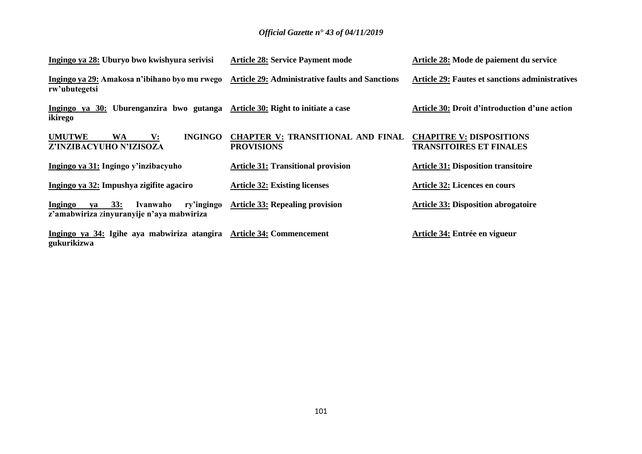| Ingingo ya 28: Uburyo bwo kwishyura serivisi                                                | <b>Article 28: Service Payment mode</b>                       | Article 28: Mode de paiement du service                           |
|---------------------------------------------------------------------------------------------|---------------------------------------------------------------|-------------------------------------------------------------------|
| Ingingo ya 29: Amakosa n'ibihano byo mu rwego<br>rw'ubutegetsi                              | <b>Article 29: Administrative faults and Sanctions</b>        | <b>Article 29: Fautes et sanctions administratives</b>            |
| Ingingo ya 30: Uburenganzira bwo gutanga<br>ikirego                                         | <b>Article 30: Right to initiate a case</b>                   | Article 30: Droit d'introduction d'une action                     |
| <b>INGINGO</b><br><b>UMUTWE</b><br>WA<br>$\mathbf{V}$ :<br>Z'INZIBACYUHO N'IZISOZA          | <b>CHAPTER V: TRANSITIONAL AND FINAL</b><br><b>PROVISIONS</b> | <b>CHAPITRE V: DISPOSITIONS</b><br><b>TRANSITOIRES ET FINALES</b> |
| Ingingo ya 31: Ingingo y'inzibacyuho                                                        | <b>Article 31: Transitional provision</b>                     | <b>Article 31: Disposition transitoire</b>                        |
| Ingingo ya 32: Impushya zigifite agaciro                                                    | <b>Article 32: Existing licenses</b>                          | <b>Article 32: Licences en cours</b>                              |
| 33:<br>ry'ingingo<br>Ingingo<br>Ivanwaho<br>va<br>z'amabwiriza zinyuranyije n'aya mabwiriza | <b>Article 33: Repealing provision</b>                        | <b>Article 33: Disposition abrogatoire</b>                        |
| Ingingo ya 34: Igihe aya mabwiriza atangira Article 34: Commencement<br>gukurikizwa         |                                                               | Article 34: Entrée en vigueur                                     |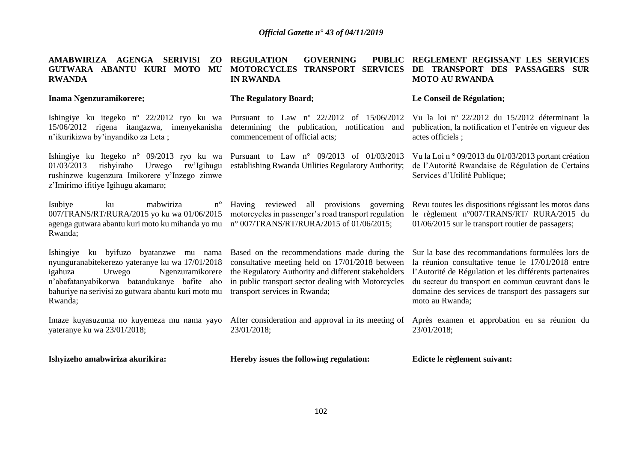| AMABWIRIZA AGENGA<br><b>SERIVISI</b><br>ZO<br>GUTWARA ABANTU KURI MOTO<br>MU<br><b>RWANDA</b>                                                                                                                                                       | <b>REGULATION</b><br><b>GOVERNING</b><br><b>PUBLIC</b><br><b>MOTORCYCLES</b><br><b>TRANSPORT SERVICES</b><br><b>IN RWANDA</b>                                                                                                                  | REGLEMENT REGISSANT LES SERVICES<br>DE TRANSPORT DES PASSAGERS SUR<br><b>MOTO AU RWANDA</b>                                                                                                                                                                                                     |
|-----------------------------------------------------------------------------------------------------------------------------------------------------------------------------------------------------------------------------------------------------|------------------------------------------------------------------------------------------------------------------------------------------------------------------------------------------------------------------------------------------------|-------------------------------------------------------------------------------------------------------------------------------------------------------------------------------------------------------------------------------------------------------------------------------------------------|
| Inama Ngenzuramikorere;                                                                                                                                                                                                                             | The Regulatory Board;                                                                                                                                                                                                                          | Le Conseil de Régulation;                                                                                                                                                                                                                                                                       |
| Ishingiye ku itegeko n° 22/2012 ryo ku wa Pursuant to Law n° 22/2012<br>15/06/2012 rigena itangazwa, imenyekanisha<br>n'ikurikizwa by'inyandiko za Leta;                                                                                            | of 15/06/2012<br>determining the publication,<br>notification and<br>commencement of official acts;                                                                                                                                            | Vu la loi nº 22/2012 du 15/2012 déterminant la<br>publication, la notification et l'entrée en vigueur des<br>actes officiels;                                                                                                                                                                   |
| rishyiraho<br>Urwego<br>rw'Igihugu<br>01/03/2013<br>rushinzwe kugenzura Imikorere y'Inzego zimwe<br>z'Imirimo ifitiye Igihugu akamaro;                                                                                                              | Ishingiye ku Itegeko n° 09/2013 ryo ku wa Pursuant to Law n° 09/2013 of 01/03/2013<br>establishing Rwanda Utilities Regulatory Authority;                                                                                                      | Vu la Loi nº 09/2013 du 01/03/2013 portant création<br>de l'Autorité Rwandaise de Régulation de Certains<br>Services d'Utilité Publique;                                                                                                                                                        |
| Isubiye<br>mabwiriza<br>$n^{\circ}$<br>ku<br>007/TRANS/RT/RURA/2015 yo ku wa 01/06/2015<br>agenga gutwara abantu kuri moto ku mihanda yo mu<br>Rwanda;                                                                                              | Having reviewed all provisions governing<br>motorcycles in passenger's road transport regulation<br>n° 007/TRANS/RT/RURA/2015 of 01/06/2015;                                                                                                   | Revu toutes les dispositions régissant les motos dans<br>le règlement n°007/TRANS/RT/ RURA/2015 du<br>01/06/2015 sur le transport routier de passagers;                                                                                                                                         |
| Ishingiye ku byifuzo byatanzwe mu nama<br>nyunguranabitekerezo yateranye ku wa 17/01/2018<br>igahuza<br>Urwego<br>Ngenzuramikorere<br>n'abafatanyabikorwa batandukanye bafite aho<br>bahuriye na serivisi zo gutwara abantu kuri moto mu<br>Rwanda; | Based on the recommendations made during the<br>consultative meeting held on 17/01/2018 between<br>the Regulatory Authority and different stakeholders<br>in public transport sector dealing with Motorcycles<br>transport services in Rwanda; | Sur la base des recommandations formulées lors de<br>la réunion consultative tenue le 17/01/2018 entre<br>l'Autorité de Régulation et les différents partenaires<br>du secteur du transport en commun œuvrant dans le<br>domaine des services de transport des passagers sur<br>moto au Rwanda; |
| Imaze kuyasuzuma no kuyemeza mu nama yayo<br>yateranye ku wa 23/01/2018;                                                                                                                                                                            | After consideration and approval in its meeting of<br>23/01/2018;                                                                                                                                                                              | Après examen et approbation en sa réunion du<br>23/01/2018;                                                                                                                                                                                                                                     |
| Ishyizeho amabwiriza akurikira:                                                                                                                                                                                                                     | Hereby issues the following regulation:                                                                                                                                                                                                        | Edicte le règlement suivant:                                                                                                                                                                                                                                                                    |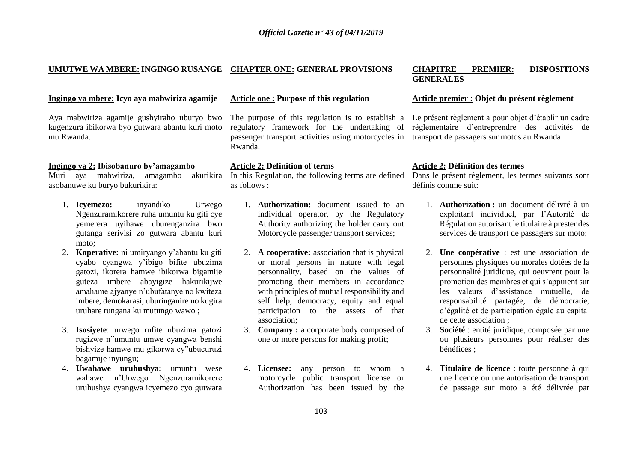#### **UMUTWE WA MBERE:INGINGO RUSANGE CHAPTER ONE: GENERAL PROVISIONS CHAPITRE PREMIER: DISPOSITIONS**

#### **Ingingo ya mbere: Icyo aya mabwiriza agamije Article one : Purpose of this regulation Article premier : Objet du présent règlement**

Aya mabwiriza agamije gushyiraho uburyo bwo kugenzura ibikorwa byo gutwara abantu kuri moto mu Rwanda.

#### **Ingingo ya 2: Ibisobanuro by'amagambo Article 2: Definition of terms Article 2: Définition des termes**

asobanuwe ku buryo bukurikira:

- 1. **Icyemezo:** inyandiko Urwego Ngenzuramikorere ruha umuntu ku giti cye yemerera uyihawe uburenganzira bwo gutanga serivisi zo gutwara abantu kuri moto;
- 2. **Koperative:** ni umiryango y'abantu ku giti cyabo cyangwa y'ibigo bifite ubuzima gatozi, ikorera hamwe ibikorwa bigamije guteza imbere abayigize hakurikijwe amahame ajyanye n'ubufatanye no kwiteza imbere, demokarasi, uburinganire no kugira uruhare rungana ku mutungo wawo ;
- 3. **Isosiyete**: urwego rufite ubuzima gatozi rugizwe n"umuntu umwe cyangwa benshi bishyize hamwe mu gikorwa cy"ubucuruzi bagamije inyungu;
- 4. **Uwahawe uruhushya:** umuntu wese wahawe n'Urwego Ngenzuramikorere uruhushya cyangwa icyemezo cyo gutwara

The purpose of this regulation is to establish a regulatory framework for the undertaking of passenger transport activities using motorcycles in Rwanda.

Muri aya mabwiriza, amagambo akurikira In this Regulation, the following terms are defined Dans le présent règlement, les termes suivants sont as follows :

- 1. **Authorization:** document issued to an individual operator, by the Regulatory Authority authorizing the holder carry out Motorcycle passenger transport services;
- 2. **A cooperative:** association that is physical or moral persons in nature with legal personnality, based on the values of promoting their members in accordance with principles of mutual responsibility and self help, democracy, equity and equal participation to the assets of that association;
- 3. **Company :** a corporate body composed of one or more persons for making profit;
- 4. **Licensee:** any person to whom a motorcycle public transport license or Authorization has been issued by the

# **GENERALES**

Le présent règlement a pour objet d'établir un cadre réglementaire d'entreprendre des activités de transport de passagers sur motos au Rwanda.

définis comme suit:

- 1. **Authorization :** un document délivré à un exploitant individuel, par l'Autorité de Régulation autorisant le titulaire à prester des services de transport de passagers sur moto;
- 2. **Une coopérative** : est une association de personnes physiques ou morales dotées de la personnalité juridique, qui oeuvrent pour la promotion des membres et qui s'appuient sur les valeurs d'assistance mutuelle, de responsabilité partagée, de démocratie, d'égalité et de participation égale au capital de cette association ;
- 3. **Société** : entité juridique, composée par une ou plusieurs personnes pour réaliser des bénéfices ;
- 4. **Titulaire de licence** : toute personne à qui une licence ou une autorisation de transport de passage sur moto a été délivrée par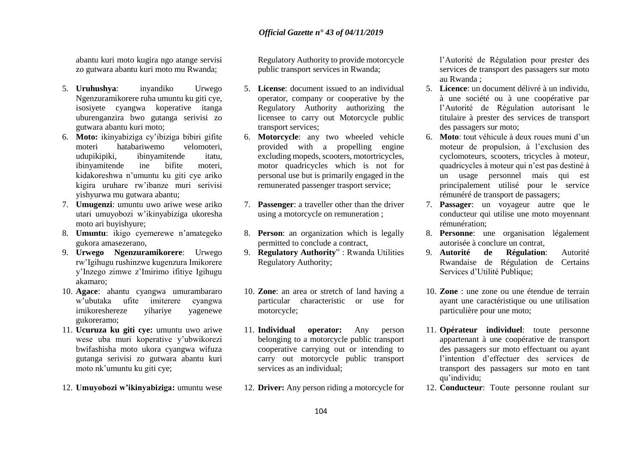abantu kuri moto kugira ngo atange servisi zo gutwara abantu kuri moto mu Rwanda;

- 5. **Uruhushya**: inyandiko Urwego Ngenzuramikorere ruha umuntu ku giti cye, isosiyete cyangwa koperative itanga uburenganzira bwo gutanga serivisi zo gutwara abantu kuri moto;
- 6. **Moto:** ikinyabiziga cy'ibiziga bibiri gifite moteri hatabariwemo velomoteri, udupikipiki, ibinyamitende itatu, ibinyamitende ine bifite moteri, kidakoreshwa n'umuntu ku giti cye ariko kigira uruhare rw'ibanze muri serivisi yishyurwa mu gutwara abantu;
- 7. **Umugenzi**: umuntu uwo ariwe wese ariko utari umuyobozi w'ikinyabiziga ukoresha moto ari buyishyure;
- 8. **Umuntu**: ikigo cyemerewe n'amategeko gukora amasezerano,
- 9. **Urwego Ngenzuramikorere**: Urwego rw'Igihugu rushinzwe kugenzura Imikorere y'Inzego zimwe z'Imirimo ifitiye Igihugu akamaro;
- 10. **Agace**: ahantu cyangwa umurambararo w'ubutaka ufite imiterere cyangwa imikoreshereze yihariye yagenewe gukoreramo;
- 11. **Ucuruza ku giti cye:** umuntu uwo ariwe wese uba muri koperative y'ubwikorezi bwifashisha moto ukora cyangwa wifuza gutanga serivisi zo gutwara abantu kuri moto nk'umuntu ku giti cye;
- 12. **Umuyobozi w'ikinyabiziga:** umuntu wese

Regulatory Authority to provide motorcycle public transport services in Rwanda;

- 5. **License**: document issued to an individual operator, company or cooperative by the Regulatory Authority authorizing the licensee to carry out Motorcycle public transport services;
- 6. **Motorcycle**: any two wheeled vehicle provided with a propelling engine excluding mopeds, scooters, motortricycles, motor quadricycles which is not for personal use but is primarily engaged in the remunerated passenger trasport service;
- 7. **Passenger**: a traveller other than the driver using a motorcycle on remuneration ;
- 8. **Person**: an organization which is legally permitted to conclude a contract,
- 9. **Regulatory Authority**" : Rwanda Utilities Regulatory Authority;
- 10. **Zone**: an area or stretch of land having a particular characteristic or use for motorcycle;
- 11. **Individual operator:** Any person belonging to a motorcycle public transport cooperative carrying out or intending to carry out motorcycle public transport services as an individual;
- 12. **Driver:** Any person riding a motorcycle for

l'Autorité de Régulation pour prester des services de transport des passagers sur moto au Rwanda ;

- 5. **Licence**: un document délivré à un individu, à une société ou à une coopérative par l'Autorité de Régulation autorisant le titulaire à prester des services de transport des passagers sur moto;
- 6. **Moto**: tout véhicule à deux roues muni d'un moteur de propulsion, à l'exclusion des cyclomoteurs, scooters, tricycles à moteur, quadricycles à moteur qui n'est pas destiné à un usage personnel mais qui est principalement utilisé pour le service rémunéré de transport de passagers;
- 7. **Passager**: un voyageur autre que le conducteur qui utilise une moto moyennant rémunération;
- 8. **Personne**: une organisation légalement autorisée à conclure un contrat,
- 9. **Autorité de Régulation**: Autorité Rwandaise de Régulation de Certains Services d'Utilité Publique;
- 10. **Zone** : une zone ou une étendue de terrain ayant une caractéristique ou une utilisation particulière pour une moto;
- 11. **Opérateur individuel**: toute personne appartenant à une coopérative de transport des passagers sur moto effectuant ou ayant l'intention d'effectuer des services de transport des passagers sur moto en tant qu'individu;
- 12. **Conducteur**: Toute personne roulant sur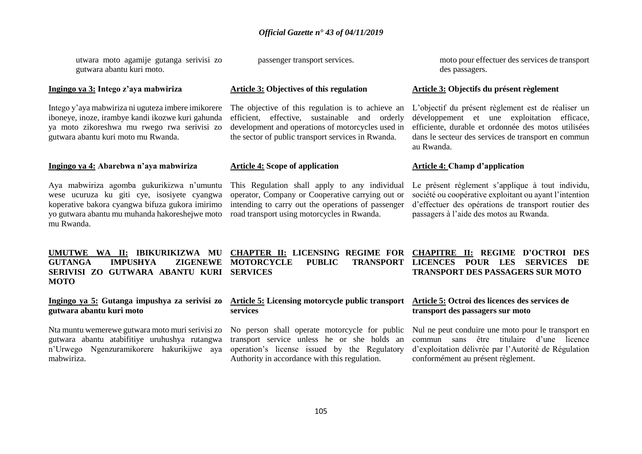utwara moto agamije gutanga serivisi zo gutwara abantu kuri moto.

Intego y'aya mabwiriza ni uguteza imbere imikorere iboneye, inoze, irambye kandi ikozwe kuri gahunda ya moto zikoreshwa mu rwego rwa serivisi zo gutwara abantu kuri moto mu Rwanda.

**Ingingo ya 4: Abarebwa n'aya mabwiriza Article 4: Scope of application Article 4: Champ d'application**

Aya mabwiriza agomba gukurikizwa n'umuntu wese ucuruza ku giti cye, isosiyete cyangwa koperative bakora cyangwa bifuza gukora imirimo yo gutwara abantu mu muhanda hakoreshejwe moto mu Rwanda.

The objective of this regulation is to achieve an efficient, effective, sustainable and orderly development and operations of motorcycles used in the sector of public transport services in Rwanda.

**services**

This Regulation shall apply to any individual operator, Company or Cooperative carrying out or intending to carry out the operations of passenger road transport using motorcycles in Rwanda.

passenger transport services. moto pour effectuer des services de transport des passagers.

#### **Ingingo ya 3: Intego z'aya mabwiriza Article 3: Objectives of this regulation Article 3: Objectifs du présent règlement**

L'objectif du présent règlement est de réaliser un développement et une exploitation efficace, efficiente, durable et ordonnée des motos utilisées dans le secteur des services de transport en commun au Rwanda.

**TRANSPORT LICENCES POUR LES SERVICES DE** 

Le présent règlement s'applique à tout individu, société ou coopérative exploitant ou ayant l'intention d'effectuer des opérations de transport routier des passagers à l'aide des motos au Rwanda.

**UMUTWE WA II: IBIKURIKIZWA MU GUTANGA IMPUSHYA ZIGENEWE MOTORCYCLE PUBLIC TRANSPORT SERIVISI ZO GUTWARA ABANTU KURI SERVICES MOTO CHAPTER II: LICENSING REGIME FOR CHAPITRE II: REGIME D'OCTROI DES**

**Ingingo ya 5: Gutanga impushya za serivisi zo gutwara abantu kuri moto**

Nta muntu wemerewe gutwara moto muri serivisi zo gutwara abantu atabifitiye uruhushya rutangwa n'Urwego Ngenzuramikorere hakurikijwe aya mabwiriza.

**Article 5: Licensing motorcycle public transport** 

#### **Article 5: Octroi des licences des services de transport des passagers sur moto**

**TRANSPORT DES PASSAGERS SUR MOTO** 

transport service unless he or she holds an operation's license issued by the Regulatory Authority in accordance with this regulation.

No person shall operate motorcycle for public Nul ne peut conduire une moto pour le transport en commun sans être titulaire d'une licence d'exploitation délivrée par l'Autorité de Régulation conformément au présent règlement.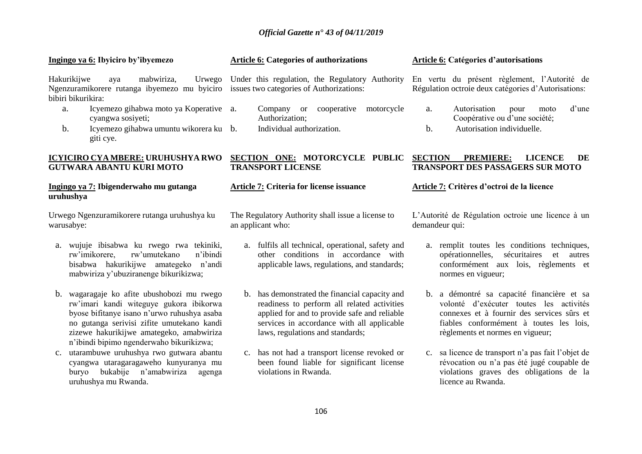| Ingingo ya 6: Ibyiciro by'ibyemezo                                                                                                                                                                                                                                         | <b>Article 6: Categories of authorizations</b>                                                                                                                                                                                     | <b>Article 6: Catégories d'autorisations</b>                                                                                                                                                                       |
|----------------------------------------------------------------------------------------------------------------------------------------------------------------------------------------------------------------------------------------------------------------------------|------------------------------------------------------------------------------------------------------------------------------------------------------------------------------------------------------------------------------------|--------------------------------------------------------------------------------------------------------------------------------------------------------------------------------------------------------------------|
| Hakurikijwe<br>mabwiriza,<br>Urwego<br>aya<br>Ngenzuramikorere rutanga ibyemezo mu byiciro issues two categories of Authorizations:<br>bibiri bikurikira:                                                                                                                  | Under this regulation, the Regulatory Authority                                                                                                                                                                                    | En vertu du présent règlement, l'Autorité de<br>Régulation octroie deux catégories d'Autorisations:                                                                                                                |
| Icyemezo gihabwa moto ya Koperative a.<br>a.<br>cyangwa sosiyeti;                                                                                                                                                                                                          | Company or cooperative<br>motorcycle<br>Authorization;                                                                                                                                                                             | Autorisation<br>d'une<br>pour<br>a.<br>moto<br>Coopérative ou d'une société;                                                                                                                                       |
| Icyemezo gihabwa umuntu wikorera ku b.<br>b.<br>giti cye.                                                                                                                                                                                                                  | Individual authorization.                                                                                                                                                                                                          | b.<br>Autorisation individuelle.                                                                                                                                                                                   |
| <b>ICYICIRO CYA MBERE: URUHUSHYA RWO</b><br><b>GUTWARA ABANTU KURI MOTO</b>                                                                                                                                                                                                | SECTION ONE: MOTORCYCLE PUBLIC<br><b>TRANSPORT LICENSE</b>                                                                                                                                                                         | <b>SECTION</b><br><b>PREMIERE:</b><br><b>LICENCE</b><br>DE<br>TRANSPORT DES PASSAGERS SUR MOTO                                                                                                                     |
| Ingingo ya 7: Ibigenderwaho mu gutanga<br>uruhushya                                                                                                                                                                                                                        | Article 7: Criteria for license issuance                                                                                                                                                                                           | Article 7: Critères d'octroi de la licence                                                                                                                                                                         |
| Urwego Ngenzuramikorere rutanga uruhushya ku<br>warusabye:                                                                                                                                                                                                                 | The Regulatory Authority shall issue a license to<br>an applicant who:                                                                                                                                                             | L'Autorité de Régulation octroie une licence à un<br>demandeur qui:                                                                                                                                                |
| a. wujuje ibisabwa ku rwego rwa tekiniki,<br>rw'imikorere,<br>rw'umutekano<br>n'ibindi<br>bisabwa hakurikijwe amategeko n'andi<br>mabwiriza y'ubuziranenge bikurikizwa;                                                                                                    | a. fulfils all technical, operational, safety and<br>other conditions in accordance with<br>applicable laws, regulations, and standards;                                                                                           | a. remplit toutes les conditions techniques,<br>opérationnelles, sécuritaires<br>et autres<br>conformément aux lois, règlements et<br>normes en vigueur;                                                           |
| b. wagaragaje ko afite ubushobozi mu rwego<br>rw'imari kandi witeguye gukora ibikorwa<br>byose bifitanye isano n'urwo ruhushya asaba<br>no gutanga serivisi zifite umutekano kandi<br>zizewe hakurikijwe amategeko, amabwiriza<br>n'ibindi bipimo ngenderwaho bikurikizwa; | has demonstrated the financial capacity and<br>b.<br>readiness to perform all related activities<br>applied for and to provide safe and reliable<br>services in accordance with all applicable<br>laws, regulations and standards; | b. a démontré sa capacité financière et sa<br>volonté d'exécuter toutes les activités<br>connexes et à fournir des services sûrs et<br>fiables conformément à toutes les lois,<br>règlements et normes en vigueur; |
| c. utarambuwe uruhushya rwo gutwara abantu<br>cyangwa utaragaragaweho kunyuranya mu                                                                                                                                                                                        | has not had a transport license revoked or<br>$C_{\star}$<br>been found liable for significant license                                                                                                                             | c. sa licence de transport n'a pas fait l'objet de<br>révocation ou n'a pas été jugé coupable de                                                                                                                   |

violations graves des obligations de la

licence au Rwanda.

violations in Rwanda.

buryo bukabije n'amabwiriza agenga

uruhushya mu Rwanda.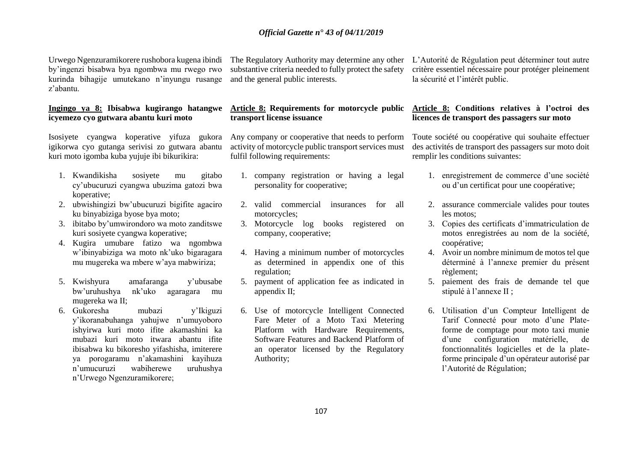Urwego Ngenzuramikorere rushobora kugena ibindi by'ingenzi bisabwa bya ngombwa mu rwego rwo kurinda bihagije umutekano n'inyungu rusange z'abantu.

#### **Ingingo ya 8: Ibisabwa kugirango hatangwe icyemezo cyo gutwara abantu kuri moto**

Isosiyete cyangwa koperative yifuza gukora igikorwa cyo gutanga serivisi zo gutwara abantu kuri moto igomba kuba yujuje ibi bikurikira:

- 1. Kwandikisha sosiyete mu gitabo cy'ubucuruzi cyangwa ubuzima gatozi bwa koperative;
- 2. ubwishingizi bw'ubucuruzi bigifite agaciro ku binyabiziga byose bya moto;
- 3. ibitabo by'umwirondoro wa moto zanditswe kuri sosiyete cyangwa koperative;
- 4. Kugira umubare fatizo wa ngombwa w'ibinyabiziga wa moto nk'uko bigaragara mu mugereka wa mbere w'aya mabwiriza;
- 5. Kwishyura amafaranga y'ubusabe bw'uruhushya nk'uko agaragara mu mugereka wa II;
- 6. Gukoresha mubazi y'Ikiguzi y'ikoranabuhanga yahujwe n'umuyoboro ishyirwa kuri moto ifite akamashini ka mubazi kuri moto itwara abantu ifite ibisabwa ku bikoresho yifashisha, imiterere ya porogaramu n'akamashini kayihuza n'umucuruzi wabiherewe uruhushya n'Urwego Ngenzuramikorere;

substantive criteria needed to fully protect the safety and the general public interests.

# **transport license issuance**

Any company or cooperative that needs to perform activity of motorcycle public transport services must fulfil following requirements:

- 1. company registration or having a legal personality for cooperative;
- 2. valid commercial insurances for all motorcycles;
- 3. Motorcycle log books registered on company, cooperative;
- 4. Having a minimum number of motorcycles as determined in appendix one of this regulation;
- 5. payment of application fee as indicated in appendix II;
- 6. Use of motorcycle Intelligent Connected Fare Meter of a Moto Taxi Metering Platform with Hardware Requirements, Software Features and Backend Platform of an operator licensed by the Regulatory Authority;

The Regulatory Authority may determine any other L'Autorité de Régulation peut déterminer tout autre critère essentiel nécessaire pour protéger pleinement la sécurité et l'intérêt public.

#### **Article 8: Requirements for motorcycle public Article 8: Conditions relatives à l'octroi des licences de transport des passagers sur moto**

Toute société ou coopérative qui souhaite effectuer des activités de transport des passagers sur moto doit remplir les conditions suivantes:

- 1. enregistrement de commerce d'une société ou d'un certificat pour une coopérative;
- 2. assurance commerciale valides pour toutes les motos;
- 3. Copies des certificats d'immatriculation de motos enregistrées au nom de la société, coopérative;
- 4. Avoir un nombre minimum de motos tel que déterminé à l'annexe premier du présent règlement;
- 5. paiement des frais de demande tel que stipulé à l'annexe II ;
- 6. Utilisation d'un Compteur Intelligent de Tarif Connecté pour moto d'une Plateforme de comptage pour moto taxi munie d'une configuration matérielle, de fonctionnalités logicielles et de la plateforme principale d'un opérateur autorisé par l'Autorité de Régulation;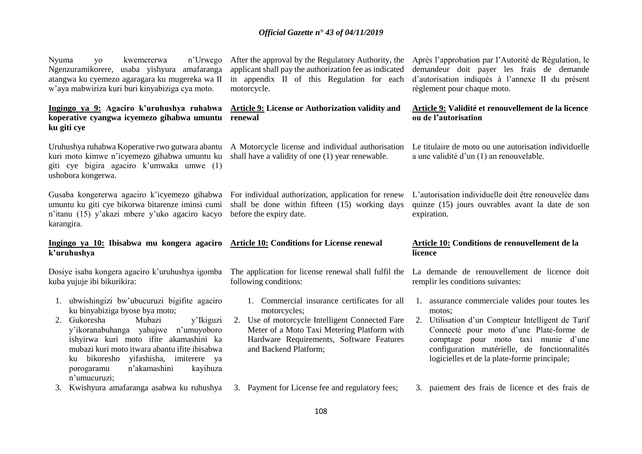Nyuma yo kwemererwa n'Urwego Ngenzuramikorere, usaba yishyura amafaranga atangwa ku cyemezo agaragara ku mugereka wa II w'aya mabwiriza kuri buri kinyabiziga cya moto.

**Ingingo ya 9: Agaciro k'uruhushya ruhabwa koperative cyangwa icyemezo gihabwa umuntu ku giti cye** 

Uruhushya ruhabwa Koperative rwo gutwara abantu kuri moto kimwe n'icyemezo gihabwa umuntu ku giti cye bigira agaciro k'umwaka umwe (1) ushobora kongerwa.

umuntu ku giti cye bikorwa bitarenze iminsi cumi n'itanu (15) y'akazi mbere y'uko agaciro kacyo karangira.

# **k'uruhushya**

Dosiye isaba kongera agaciro k'uruhushya igomba kuba yujuje ibi bikurikira:

- 1. ubwishingizi bw'ubucuruzi bigifite agaciro ku binyabiziga byose bya moto;
- 2. Gukoresha Mubazi y'Ikiguzi y'ikoranabuhanga yahujwe n'umuyoboro ishyirwa kuri moto ifite akamashini ka mubazi kuri moto itwara abantu ifite ibisabwa ku bikoresho yifashisha, imiterere ya porogaramu n'akamashini kayihuza n'umucuruzi;

applicant shall pay the authorization fee as indicated in appendix II of this Regulation for each motorcycle.

### **Article 9: License or Authorization validity and renewal**

A Motorcycle license and individual authorisation shall have a validity of one (1) year renewable.

Gusaba kongererwa agaciro k'icyemezo gihabwa For individual authorization, application for renew shall be done within fifteen (15) working days before the expiry date.

# **Ingingo ya 10: Ibisabwa mu kongera agaciro**

following conditions:

- 1. Commercial insurance certificates for all motorcycles;
- 2. Use of motorcycle Intelligent Connected Fare Meter of a Moto Taxi Metering Platform with Hardware Requirements, Software Features and Backend Platform;

After the approval by the Regulatory Authority, the Après l'approbation par l'Autorité de Régulation, le demandeur doit payer les frais de demande d'autorisation indiqués à l'annexe II du présent règlement pour chaque moto.

### **Article 9: Validité et renouvellement de la licence ou de l'autorisation**

Le titulaire de moto ou une autorisation individuelle a une validité d'un (1) an renouvelable.

L'autorisation individuelle doit être renouvelée dans quinze (15) jours ouvrables avant la date de son expiration.

#### **Article 10: Conditions for License renewal Article 10: Conditions de renouvellement de la licence**

The application for license renewal shall fulfil the La demande de renouvellement de licence doit remplir les conditions suivantes:

- 1. assurance commerciale valides pour toutes les motos;
- 2. Utilisation d'un Compteur Intelligent de Tarif Connecté pour moto d'une Plate-forme de comptage pour moto taxi munie d'une configuration matérielle, de fonctionnalités logicielles et de la plate-forme principale;
- 3. Kwishyura amafaranga asabwa ku ruhushya 3. Payment for License fee and regulatory fees;
- 3. paiement des frais de licence et des frais de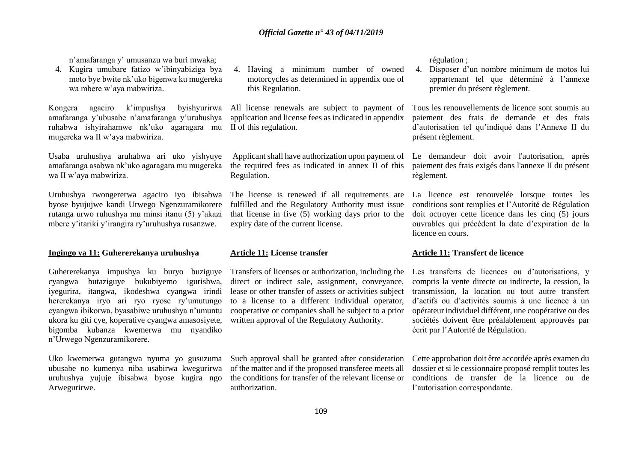n'amafaranga y' umusanzu wa buri mwaka;

4. Kugira umubare fatizo w'ibinyabiziga bya moto bye bwite nk'uko bigenwa ku mugereka wa mbere w'aya mabwiriza.

Kongera agaciro k'impushya byishyurirwa amafaranga y'ubusabe n'amafaranga y'uruhushya ruhabwa ishyirahamwe nk'uko agaragara mu mugereka wa II w'aya mabwiriza.

Usaba uruhushya aruhabwa ari uko yishyuye amafaranga asabwa nk'uko agaragara mu mugereka wa II w'aya mabwiriza.

Uruhushya rwongererwa agaciro iyo ibisabwa byose byujujwe kandi Urwego Ngenzuramikorere rutanga urwo ruhushya mu minsi itanu (5) y'akazi mbere y'itariki y'irangira ry'uruhushya rusanzwe.

#### **Ingingo ya 11: Guhererekanya uruhushya Article 11: License transfer Article 11: Transfert de licence**

Guhererekanya impushya ku buryo buziguye cyangwa butaziguye bukubiyemo igurishwa, iyegurira, itangwa, ikodeshwa cyangwa irindi hererekanya iryo ari ryo ryose ry'umutungo cyangwa ibikorwa, byasabiwe uruhushya n'umuntu ukora ku giti cye, koperative cyangwa amasosiyete, bigomba kubanza kwemerwa mu nyandiko n'Urwego Ngenzuramikorere.

Uko kwemerwa gutangwa nyuma yo gusuzuma ubusabe no kumenya niba usabirwa kwegurirwa uruhushya yujuje ibisabwa byose kugira ngo Arwegurirwe.

4. Having a minimum number of owned motorcycles as determined in appendix one of this Regulation.

All license renewals are subject to payment of application and license fees as indicated in appendix II of this regulation.

Applicant shall have authorization upon payment of the required fees as indicated in annex II of this Regulation.

The license is renewed if all requirements are fulfilled and the Regulatory Authority must issue that license in five (5) working days prior to the expiry date of the current license.

Transfers of licenses or authorization, including the direct or indirect sale, assignment, conveyance, lease or other transfer of assets or activities subject to a license to a different individual operator, cooperative or companies shall be subject to a prior written approval of the Regulatory Authority.

Such approval shall be granted after consideration of the matter and if the proposed transferee meets all the conditions for transfer of the relevant license or authorization.

régulation ;

4. Disposer d'un nombre minimum de motos lui appartenant tel que déterminé à l'annexe premier du présent règlement.

Tous les renouvellements de licence sont soumis au paiement des frais de demande et des frais d'autorisation tel qu'indiqué dans l'Annexe II du présent règlement.

Le demandeur doit avoir l'autorisation, après paiement des frais exigés dans l'annexe II du présent règlement.

La licence est renouvelée lorsque toutes les conditions sont remplies et l'Autorité de Régulation doit octroyer cette licence dans les cinq (5) jours ouvrables qui précèdent la date d'expiration de la licence en cours.

Les transferts de licences ou d'autorisations, y compris la vente directe ou indirecte, la cession, la transmission, la location ou tout autre transfert d'actifs ou d'activités soumis à une licence à un opérateur individuel différent, une coopérative ou des sociétés doivent être préalablement approuvés par écrit par l'Autorité de Régulation.

Cette approbation doit être accordée après examen du dossier et si le cessionnaire proposé remplit toutes les conditions de transfer de la licence ou de l'autorisation correspondante.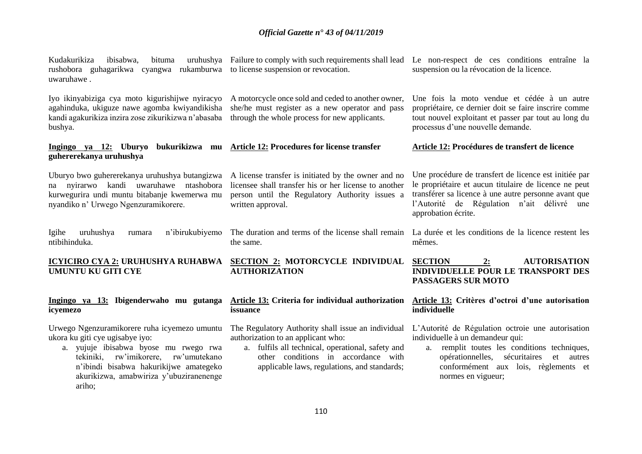| Kudakurikiza<br>ibisabwa,<br>bituma<br>rushobora guhagarikwa cyangwa rukamburwa to license suspension or revocation.                                                                                                                                               | uruhushya Failure to comply with such requirements shall lead                                                                                                                                                                        | Le non-respect de ces conditions entraîne la<br>suspension ou la révocation de la licence.                                                                                                                                                              |
|--------------------------------------------------------------------------------------------------------------------------------------------------------------------------------------------------------------------------------------------------------------------|--------------------------------------------------------------------------------------------------------------------------------------------------------------------------------------------------------------------------------------|---------------------------------------------------------------------------------------------------------------------------------------------------------------------------------------------------------------------------------------------------------|
| uwaruhawe.                                                                                                                                                                                                                                                         |                                                                                                                                                                                                                                      |                                                                                                                                                                                                                                                         |
| Iyo ikinyabiziga cya moto kigurishijwe nyiracyo<br>agahinduka, ukiguze nawe agomba kwiyandikisha<br>kandi agakurikiza inzira zose zikurikizwa n'abasaba<br>bushya.                                                                                                 | A motorcycle once sold and ceded to another owner,<br>she/he must register as a new operator and pass<br>through the whole process for new applicants.                                                                               | Une fois la moto vendue et cédée à un autre<br>propriétaire, ce dernier doit se faire inscrire comme<br>tout nouvel exploitant et passer par tout au long du<br>processus d'une nouvelle demande.                                                       |
| Ingingo ya 12: Uburyo<br>bukurikizwa mu<br>guhererekanya uruhushya                                                                                                                                                                                                 | <b>Article 12: Procedures for license transfer</b>                                                                                                                                                                                   | Article 12: Procédures de transfert de licence                                                                                                                                                                                                          |
| Uburyo bwo guhererekanya uruhushya butangizwa<br>na nyirarwo kandi uwaruhawe ntashobora<br>kurwegurira undi muntu bitabanje kwemerwa mu<br>nyandiko n' Urwego Ngenzuramikorere.                                                                                    | A license transfer is initiated by the owner and no<br>licensee shall transfer his or her license to another<br>person until the Regulatory Authority issues a<br>written approval.                                                  | Une procédure de transfert de licence est initiée par<br>le propriétaire et aucun titulaire de licence ne peut<br>transférer sa licence à une autre personne avant que<br>l'Autorité de Régulation n'ait délivré une<br>approbation écrite.             |
| uruhushya<br>n'ibirukubiyemo<br>Igihe<br>rumara<br>ntibihinduka.                                                                                                                                                                                                   | The duration and terms of the license shall remain<br>the same.                                                                                                                                                                      | La durée et les conditions de la licence restent les<br>mêmes.                                                                                                                                                                                          |
| <b>UMUNTU KU GITI CYE</b>                                                                                                                                                                                                                                          | ICYICIRO CYA 2: URUHUSHYA RUHABWA SECTION 2: MOTORCYCLE INDIVIDUAL SECTION<br><b>AUTHORIZATION</b>                                                                                                                                   | <b>AUTORISATION</b><br>2:<br><b>INDIVIDUELLE POUR LE TRANSPORT DES</b><br><b>PASSAGERS SUR MOTO</b>                                                                                                                                                     |
| Ingingo ya 13: Ibigenderwaho mu gutanga<br>icyemezo                                                                                                                                                                                                                | <b>Article 13: Criteria for individual authorization</b><br>issuance                                                                                                                                                                 | Article 13: Critères d'octroi d'une autorisation<br>individuelle                                                                                                                                                                                        |
| Urwego Ngenzuramikorere ruha icyemezo umuntu<br>ukora ku giti cye ugisabye iyo:<br>a. yujuje ibisabwa byose mu rwego rwa<br>rw'imikorere, rw'umutekano<br>tekiniki,<br>n'ibindi bisabwa hakurikijwe amategeko<br>akurikizwa, amabwiriza y'ubuziranenenge<br>ariho; | The Regulatory Authority shall issue an individual<br>authorization to an applicant who:<br>a. fulfils all technical, operational, safety and<br>other conditions in accordance with<br>applicable laws, regulations, and standards; | L'Autorité de Régulation octroie une autorisation<br>individuelle à un demandeur qui:<br>a. remplit toutes les conditions techniques,<br>sécuritaires<br>opérationnelles,<br>et<br>autres<br>conformément aux lois, règlements et<br>normes en vigueur; |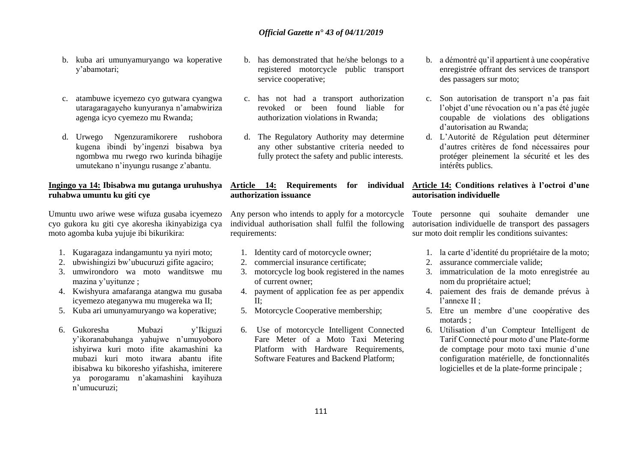- b. kuba ari umunyamuryango wa koperative y'abamotari;
- c. atambuwe icyemezo cyo gutwara cyangwa utaragaragayeho kunyuranya n'amabwiriza agenga icyo cyemezo mu Rwanda;
- d. Urwego Ngenzuramikorere rushobora kugena ibindi by'ingenzi bisabwa bya ngombwa mu rwego rwo kurinda bihagije umutekano n'inyungu rusange z'abantu.

### **Ingingo ya 14: Ibisabwa mu gutanga uruhushya ruhabwa umuntu ku giti cye**

Umuntu uwo ariwe wese wifuza gusaba icyemezo cyo gukora ku giti cye akoresha ikinyabiziga cya moto agomba kuba yujuje ibi bikurikira:

- 1. Kugaragaza indangamuntu ya nyiri moto;
- 2. ubwishingizi bw'ubucuruzi gifite agaciro;
- 3. umwirondoro wa moto wanditswe mu mazina y'uyitunze ;
- 4. Kwishyura amafaranga atangwa mu gusaba icyemezo ateganywa mu mugereka wa II;
- 5. Kuba ari umunyamuryango wa koperative;
- 6. Gukoresha Mubazi y'Ikiguzi y'ikoranabuhanga yahujwe n'umuyoboro ishyirwa kuri moto ifite akamashini ka mubazi kuri moto itwara abantu ifite ibisabwa ku bikoresho yifashisha, imiterere ya porogaramu n'akamashini kayihuza n'umucuruzi;
- b. has demonstrated that he/she belongs to a registered motorcycle public transport service cooperative;
- c. has not had a transport authorization revoked or been found liable for authorization violations in Rwanda;
- d. The Regulatory Authority may determine any other substantive criteria needed to fully protect the safety and public interests.

#### **Article 14: Requirements for individual authorization issuance**

Any person who intends to apply for a motorcycle individual authorisation shall fulfil the following requirements:

- 1. Identity card of motorcycle owner;
- 2. commercial insurance certificate;
- 3. motorcycle log book registered in the names of current owner;
- 4. payment of application fee as per appendix II;
- 5. Motorcycle Cooperative membership;
- 6. Use of motorcycle Intelligent Connected Fare Meter of a Moto Taxi Metering Platform with Hardware Requirements, Software Features and Backend Platform;
- b. a démontré qu'il appartient à une coopérative enregistrée offrant des services de transport des passagers sur moto;
- c. Son autorisation de transport n'a pas fait l'objet d'une révocation ou n'a pas été jugée coupable de violations des obligations d'autorisation au Rwanda;
- d. L'Autorité de Régulation peut déterminer d'autres critères de fond nécessaires pour protéger pleinement la sécurité et les des intérêts publics.

### **Article 14: Conditions relatives à l'octroi d'une autorisation individuelle**

Toute personne qui souhaite demander une autorisation individuelle de transport des passagers sur moto doit remplir les conditions suivantes:

- 1. la carte d'identité du propriétaire de la moto;
- 2. assurance commerciale valide;
- 3. immatriculation de la moto enregistrée au nom du propriétaire actuel;
- 4. paiement des frais de demande prévus à l'annexe II ;
- 5. Etre un membre d'une coopérative des motards ;
- 6. Utilisation d'un Compteur Intelligent de Tarif Connecté pour moto d'une Plate-forme de comptage pour moto taxi munie d'une configuration matérielle, de fonctionnalités logicielles et de la plate-forme principale ;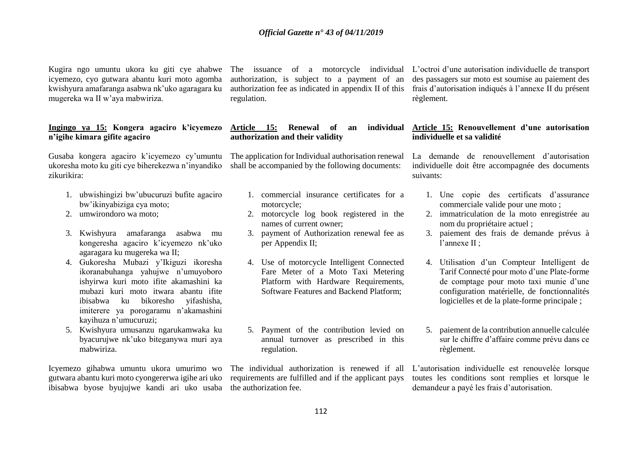icyemezo, cyo gutwara abantu kuri moto agomba kwishyura amafaranga asabwa nk'uko agaragara ku mugereka wa II w'aya mabwiriza.

#### **Ingingo ya 15: Kongera agaciro k'icyemezo n'igihe kimara gifite agaciro**

Gusaba kongera agaciro k'icyemezo cy'umuntu ukoresha moto ku giti cye biherekezwa n'inyandiko zikurikira:

- 1. ubwishingizi bw'ubucuruzi bufite agaciro bw'ikinyabiziga cya moto;
- 2. umwirondoro wa moto;
- 3. Kwishyura amafaranga asabwa mu kongeresha agaciro k'icyemezo nk'uko agaragara ku mugereka wa II;
- 4. Gukoresha Mubazi y'Ikiguzi ikoresha ikoranabuhanga yahujwe n'umuyoboro ishyirwa kuri moto ifite akamashini ka mubazi kuri moto itwara abantu ifite ibisabwa ku bikoresho yifashisha, imiterere ya porogaramu n'akamashini kayihuza n'umucuruzi;
- 5. Kwishyura umusanzu ngarukamwaka ku byacurujwe nk'uko biteganywa muri aya mabwiriza.

Icyemezo gihabwa umuntu ukora umurimo wo gutwara abantu kuri moto cyongererwa igihe ari uko ibisabwa byose byujujwe kandi ari uko usaba the authorization fee.

authorization, is subject to a payment of an authorization fee as indicated in appendix II of this regulation.

### Article 15: Renewal of an **authorization and their validity**

The application for Individual authorisation renewal shall be accompanied by the following documents:

- 1. commercial insurance certificates for a motorcycle;
- 2. motorcycle log book registered in the names of current owner;
- 3. payment of Authorization renewal fee as per Appendix II;
- 4. Use of motorcycle Intelligent Connected Fare Meter of a Moto Taxi Metering Platform with Hardware Requirements, Software Features and Backend Platform;
- 5. Payment of the contribution levied on annual turnover as prescribed in this regulation.

The individual authorization is renewed if all requirements are fulfilled and if the applicant pays

Kugira ngo umuntu ukora ku giti cye ahabwe The issuance of a motorcycle individual L'octroi d'une autorisation individuelle de transport des passagers sur moto est soumise au paiement des frais d'autorisation indiqués à l'annexe II du présent règlement.

#### **Article 15: Renouvellement d'une autorisation individuelle et sa validité**

La demande de renouvellement d'autorisation individuelle doit être accompagnée des documents suivants:

- 1. Une copie des certificats d'assurance commerciale valide pour une moto ;
- 2. immatriculation de la moto enregistrée au nom du propriétaire actuel ;
- 3. paiement des frais de demande prévus à l'annexe II ;
- 4. Utilisation d'un Compteur Intelligent de Tarif Connecté pour moto d'une Plate-forme de comptage pour moto taxi munie d'une configuration matérielle, de fonctionnalités logicielles et de la plate-forme principale ;
- 5. paiement de la contribution annuelle calculée sur le chiffre d'affaire comme prévu dans ce règlement.

L'autorisation individuelle est renouvelée lorsque toutes les conditions sont remplies et lorsque le demandeur a payé les frais d'autorisation.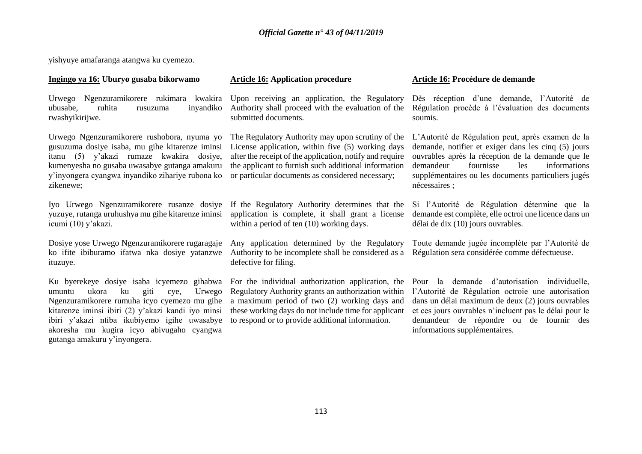yishyuye amafaranga atangwa ku cyemezo.

#### **Ingingo ya 16: Uburyo gusaba bikorwamo Article 16: Application procedure Article 16: Procédure de demande**

Urwego Ngenzuramikorere rukimara kwakira ubusabe, ruhita rusuzuma inyandiko rwashyikirijwe.

Urwego Ngenzuramikorere rushobora, nyuma yo gusuzuma dosiye isaba, mu gihe kitarenze iminsi itanu (5) y'akazi rumaze kwakira dosiye, kumenyesha no gusaba uwasabye gutanga amakuru y'inyongera cyangwa inyandiko zihariye rubona ko zikenewe;

Iyo Urwego Ngenzuramikorere rusanze dosiye yuzuye, rutanga uruhushya mu gihe kitarenze iminsi icumi (10) y'akazi.

Dosiye yose Urwego Ngenzuramikorere rugaragaje ko ifite ibiburamo ifatwa nka dosiye yatanzwe ituzuye.

Ku byerekeye dosiye isaba icyemezo gihabwa umuntu ukora ku giti cye, Urwego Ngenzuramikorere rumuha icyo cyemezo mu gihe kitarenze iminsi ibiri (2) y'akazi kandi iyo minsi ibiri y'akazi ntiba ikubiyemo igihe uwasabye akoresha mu kugira icyo abivugaho cyangwa gutanga amakuru y'inyongera.

Upon receiving an application, the Regulatory Authority shall proceed with the evaluation of the submitted documents.

The Regulatory Authority may upon scrutiny of the License application, within five (5) working days after the receipt of the application, notify and require the applicant to furnish such additional information or particular documents as considered necessary;

If the Regulatory Authority determines that the application is complete, it shall grant a license within a period of ten (10) working days.

Any application determined by the Regulatory Authority to be incomplete shall be considered as a Régulation sera considérée comme défectueuse. defective for filing.

Regulatory Authority grants an authorization within a maximum period of two (2) working days and these working days do not include time for applicant to respond or to provide additional information.

Dès réception d'une demande, l'Autorité de Régulation procède à l'évaluation des documents soumis.

L'Autorité de Régulation peut, après examen de la demande, notifier et exiger dans les cinq (5) jours ouvrables après la réception de la demande que le demandeur fournisse les informations supplémentaires ou les documents particuliers jugés nécessaires ;

Si l'Autorité de Régulation détermine que la demande est complète, elle octroi une licence dans un délai de dix (10) jours ouvrables.

Toute demande jugée incomplète par l'Autorité de

For the individual authorization application, the Pour la demande d'autorisation individuelle, l'Autorité de Régulation octroie une autorisation dans un délai maximum de deux (2) jours ouvrables et ces jours ouvrables n'incluent pas le délai pour le demandeur de répondre ou de fournir des informations supplémentaires.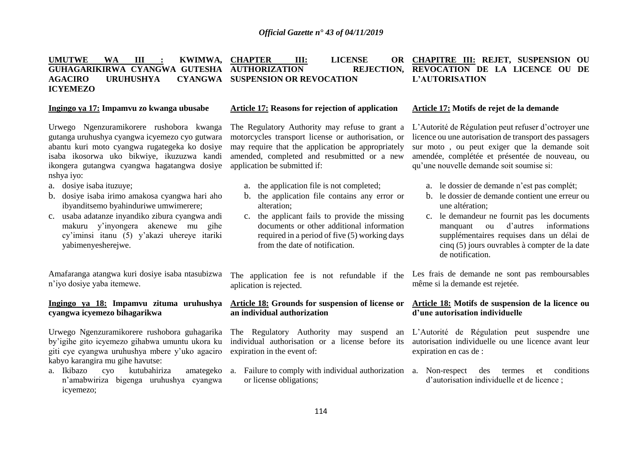#### **UMUTWE WA III : KWIMWA, CHAPTER III: LICENSE OR GUHAGARIKIRWA CYANGWA GUTESHA AUTHORIZATION REJECTION, AGACIRO URUHUSHYA CYANGWA ICYEMEZO CYANGWA SUSPENSION OR REVOCATION CHAPITRE III: REJET, SUSPENSION OU REVOCATION DE LA LICENCE OU DE L'AUTORISATION**

Urwego Ngenzuramikorere rushobora kwanga gutanga uruhushya cyangwa icyemezo cyo gutwara abantu kuri moto cyangwa rugategeka ko dosiye isaba ikosorwa uko bikwiye, ikuzuzwa kandi ikongera gutangwa cyangwa hagatangwa dosiye nshya iyo:

- a. dosiye isaba ituzuye;
- b. dosiye isaba irimo amakosa cyangwa hari aho ibyanditsemo byahinduriwe umwimerere;
- c. usaba adatanze inyandiko zibura cyangwa andi makuru y'inyongera akenewe mu gihe cy'iminsi itanu (5) y'akazi uhereye itariki yabimenyesherejwe.

Amafaranga atangwa kuri dosiye isaba ntasubizwa n'iyo dosiye yaba itemewe.

#### **Ingingo ya 18: Impamvu zituma uruhushya cyangwa icyemezo bihagarikwa**

Urwego Ngenzuramikorere rushobora guhagarika by'igihe gito icyemezo gihabwa umuntu ukora ku giti cye cyangwa uruhushya mbere y'uko agaciro kabyo karangira mu gihe havutse:

a. Ikibazo cyo kutubahiriza n'amabwiriza bigenga uruhushya cyangwa icyemezo;

#### **Ingingo ya 17: Impamvu zo kwanga ubusabe Article 17: Reasons for rejection of application Article 17: Motifs de rejet de la demande**

The Regulatory Authority may refuse to grant a motorcycles transport license or authorisation, or may require that the application be appropriately amended, completed and resubmitted or a new application be submitted if:

- a. the application file is not completed;
- b. the application file contains any error or alteration;
- c. the applicant fails to provide the missing documents or other additional information required in a period of five (5) working days from the date of notification.

The application fee is not refundable if the aplication is rejected.

#### **Article 18: Grounds for suspension of license or an individual authorization**

The Regulatory Authority may suspend an individual authorisation or a license before its expiration in the event of:

a. Failure to comply with individual authorization a. Non-respect des termes et conditions or license obligations;

L'Autorité de Régulation peut refuser d'octroyer une licence ou une autorisation de transport des passagers sur moto , ou peut exiger que la demande soit amendée, complétée et présentée de nouveau, ou qu'une nouvelle demande soit soumise si:

- a. le dossier de demande n'est pas complét;
- b. le dossier de demande contient une erreur ou une altération;
- c. le demandeur ne fournit pas les documents manquant ou d'autres informations supplémentaires requises dans un délai de cinq (5) jours ouvrables à compter de la date de notification.

Les frais de demande ne sont pas remboursables même si la demande est rejetée.

#### **Article 18: Motifs de suspension de la licence ou d'une autorisation individuelle**

L'Autorité de Régulation peut suspendre une autorisation individuelle ou une licence avant leur expiration en cas de :

d'autorisation individuelle et de licence ;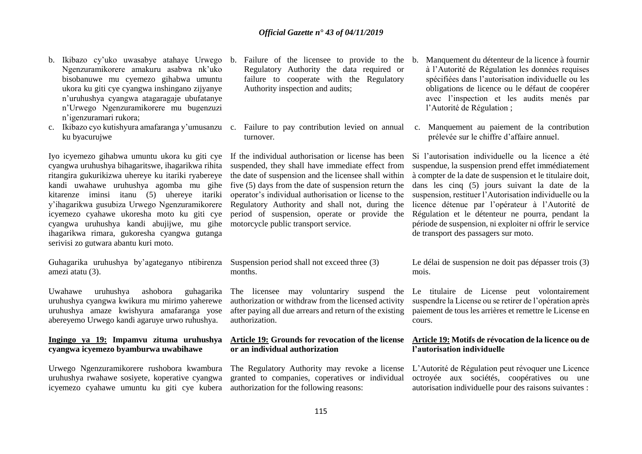- b. Ikibazo cy'uko uwasabye atahaye Urwego b. Failure of the licensee to provide to the Ngenzuramikorere amakuru asabwa nk'uko bisobanuwe mu cyemezo gihabwa umuntu ukora ku giti cye cyangwa inshingano zijyanye n'uruhushya cyangwa atagaragaje ubufatanye n'Urwego Ngenzuramikorere mu bugenzuzi n'igenzuramari rukora;
- c. Ikibazo cyo kutishyura amafaranga y'umusanzu c. Failure to pay contribution levied on annual c. Manquement au paiement de la contribution ku byacurujwe

Iyo icyemezo gihabwa umuntu ukora ku giti cye cyangwa uruhushya bihagaritswe, ihagarikwa rihita ritangira gukurikizwa uhereye ku itariki ryabereye kandi uwahawe uruhushya agomba mu gihe kitarenze iminsi itanu (5) uhereye itariki y'ihagarikwa gusubiza Urwego Ngenzuramikorere icyemezo cyahawe ukoresha moto ku giti cye cyangwa uruhushya kandi abujijwe, mu gihe ihagarikwa rimara, gukoresha cyangwa gutanga serivisi zo gutwara abantu kuri moto.

Guhagarika uruhushya by'agateganyo ntibirenza amezi atatu (3).

Uwahawe uruhushya ashobora guhagarika uruhushya cyangwa kwikura mu mirimo yaherewe uruhushya amaze kwishyura amafaranga yose abereyemo Urwego kandi agaruye urwo ruhushya.

#### **Ingingo ya 19: Impamvu zituma uruhushya cyangwa icyemezo byamburwa uwabihawe**

Urwego Ngenzuramikorere rushobora kwambura uruhushya rwahawe sosiyete, koperative cyangwa icyemezo cyahawe umuntu ku giti cye kubera authorization for the following reasons:

- Regulatory Authority the data required or failure to cooperate with the Regulatory Authority inspection and audits;
- turnover.

If the individual authorisation or license has been suspended, they shall have immediate effect from the date of suspension and the licensee shall within five (5) days from the date of suspension return the operator's individual authorisation or license to the Regulatory Authority and shall not, during the period of suspension, operate or provide the motorcycle public transport service.

Suspension period shall not exceed three (3) months.

The licensee may voluntariry suspend the authorization or withdraw from the licensed activity after paying all due arrears and return of the existing authorization.

#### **Article 19: Grounds for revocation of the license or an individual authorization**

The Regulatory Authority may revoke a license granted to companies, coperatives or individual

- b. Manquement du détenteur de la licence à fournir à l'Autorité de Régulation les données requises spécifiées dans l'autorisation individuelle ou les obligations de licence ou le défaut de coopérer avec l'inspection et les audits menés par l'Autorité de Régulation ;
- prélevée sur le chiffre d'affaire annuel.

Si l'autorisation individuelle ou la licence a été suspendue, la suspension prend effet immédiatement à compter de la date de suspension et le titulaire doit, dans les cinq (5) jours suivant la date de la suspension, restituer l'Autorisation individuelle ou la licence détenue par l'opérateur à l'Autorité de Régulation et le détenteur ne pourra, pendant la période de suspension, ni exploiter ni offrir le service de transport des passagers sur moto.

Le délai de suspension ne doit pas dépasser trois (3) mois.

Le titulaire de License peut volontairement suspendre la License ou se retirer de l'opération après paiement de tous les arrières et remettre le License en cours.

#### **Article 19: Motifs de révocation de la licence ou de l'autorisation individuelle**

L'Autorité de Régulation peut révoquer une Licence octroyée aux sociétés, coopératives ou une autorisation individuelle pour des raisons suivantes :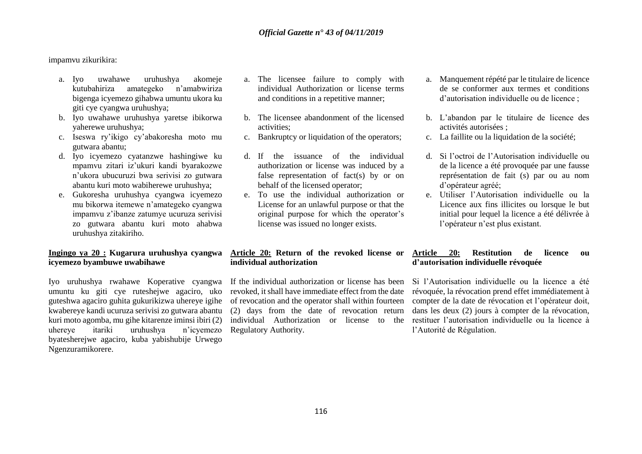#### impamvu zikurikira:

- a. Iyo uwahawe uruhushya akomeje kutubahiriza amategeko n'amabwiriza bigenga icyemezo gihabwa umuntu ukora ku giti cye cyangwa uruhushya;
- b. Iyo uwahawe uruhushya yaretse ibikorwa yaherewe uruhushya;
- c. Iseswa ry'ikigo cy'abakoresha moto mu gutwara abantu;
- d. Iyo icyemezo cyatanzwe hashingiwe ku mpamvu zitari iz'ukuri kandi byarakozwe n'ukora ubucuruzi bwa serivisi zo gutwara abantu kuri moto wabiherewe uruhushya;
- e. Gukoresha uruhushya cyangwa icyemezo mu bikorwa itemewe n'amategeko cyangwa impamvu z'ibanze zatumye ucuruza serivisi zo gutwara abantu kuri moto ahabwa uruhushya zitakiriho.

### **Ingingo ya 20 : Kugarura uruhushya cyangwa icyemezo byambuwe uwabihawe**

Iyo uruhushya rwahawe Koperative cyangwa umuntu ku giti cye ruteshejwe agaciro, uko guteshwa agaciro guhita gukurikizwa uhereye igihe kwabereye kandi ucuruza serivisi zo gutwara abantu kuri moto agomba, mu gihe kitarenze iminsi ibiri (2) uhereye itariki uruhushya n'icyemezo byatesherejwe agaciro, kuba yabishubije Urwego Ngenzuramikorere.

- a. The licensee failure to comply with individual Authorization or license terms and conditions in a repetitive manner;
- b. The licensee abandonment of the licensed activities;
- c. Bankruptcy or liquidation of the operators;
- d. If the issuance of the individual authorization or license was induced by a false representation of fact(s) by or on behalf of the licensed operator;
- e. To use the individual authorization or License for an unlawful purpose or that the original purpose for which the operator's license was issued no longer exists.

### a. Manquement répété par le titulaire de licence de se conformer aux termes et conditions d'autorisation individuelle ou de licence ;

- b. L'abandon par le titulaire de licence des activités autorisées ;
- c. La faillite ou la liquidation de la société;
- d. Si l'octroi de l'Autorisation individuelle ou de la licence a été provoquée par une fausse représentation de fait (s) par ou au nom d'opérateur agréé;
- e. Utiliser l'Autorisation individuelle ou la Licence aux fins illicites ou lorsque le but initial pour lequel la licence a été délivrée à l'opérateur n'est plus existant.

### **Article 20: Return of the revoked license or individual authorization**

If the individual authorization or license has been revoked, it shall have immediate effect from the date of revocation and the operator shall within fourteen (2) days from the date of revocation return individual Authorization or license to the Regulatory Authority.

#### **Article 20: Restitution de licence ou d'autorisation individuelle révoquée**

Si l'Autorisation individuelle ou la licence a été révoquée, la révocation prend effet immédiatement à compter de la date de révocation et l'opérateur doit, dans les deux (2) jours à compter de la révocation, restituer l'autorisation individuelle ou la licence à l'Autorité de Régulation.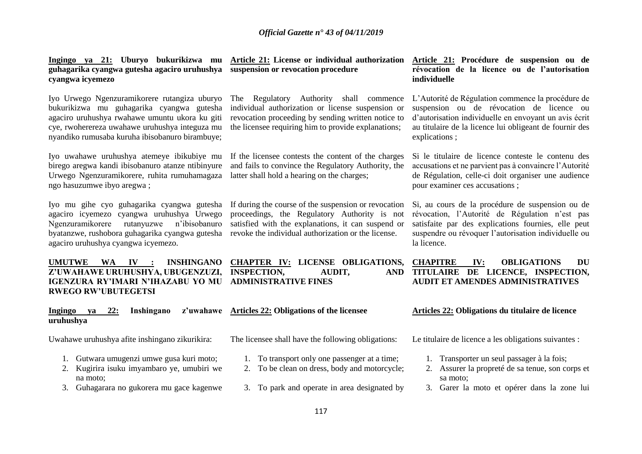**guhagarika cyangwa gutesha agaciro uruhushya suspension or revocation procedure cyangwa icyemezo** 

Iyo Urwego Ngenzuramikorere rutangiza uburyo bukurikizwa mu guhagarika cyangwa gutesha agaciro uruhushya rwahawe umuntu ukora ku giti cye, rwoherereza uwahawe uruhushya integuza mu nyandiko rumusaba kuruha ibisobanuro birambuye;

Iyo uwahawe uruhushya atemeye ibikubiye mu birego aregwa kandi ibisobanuro atanze ntibinyure Urwego Ngenzuramikorere, ruhita rumuhamagaza ngo hasuzumwe ibyo aregwa ;

Iyo mu gihe cyo guhagarika cyangwa gutesha agaciro icyemezo cyangwa uruhushya Urwego Ngenzuramikorere rutanyuzwe n'ibisobanuro byatanzwe, rushobora guhagarika cyangwa gutesha agaciro uruhushya cyangwa icyemezo.

**UMUTWE WA IV : INSHINGANO CHAPTER IV: LICENSE OBLIGATIONS, IGENZURA RY'IMARI N'IHAZABU YO MU ADMINISTRATIVE FINES RWEGO RW'UBUTEGETSI**

#### **Ingingo ya 22: Inshingano z'uwahawe uruhushya**

Uwahawe uruhushya afite inshingano zikurikira:

- 1. Gutwara umugenzi umwe gusa kuri moto;
- 2. Kugirira isuku imyambaro ye, umubiri we na moto;
- 3. Guhagarara no gukorera mu gace kagenwe

The Regulatory Authority shall commence individual authorization or license suspension or revocation proceeding by sending written notice to the licensee requiring him to provide explanations;

If the licensee contests the content of the charges and fails to convince the Regulatory Authority, the latter shall hold a hearing on the charges;

If during the course of the suspension or revocation proceedings, the Regulatory Authority is not satisfied with the explanations, it can suspend or revoke the individual authorization or the license.

**Z'UWAHAWE URUHUSHYA, UBUGENZUZI, INSPECTION, AUDIT, AND** 

**Ingingo ya 21: Uburyo bukurikizwa mu Article 21: License or individual authorization Article 21: Procédure de suspension ou de révocation de la licence ou de l'autorisation individuelle**

> L'Autorité de Régulation commence la procédure de suspension ou de révocation de licence ou d'autorisation individuelle en envoyant un avis écrit au titulaire de la licence lui obligeant de fournir des explications ;

> Si le titulaire de licence conteste le contenu des accusations et ne parvient pas à convaincre l'Autorité de Régulation, celle-ci doit organiser une audience pour examiner ces accusations ;

> Si, au cours de la procédure de suspension ou de révocation, l'Autorité de Régulation n'est pas satisfaite par des explications fournies, elle peut suspendre ou révoquer l'autorisation individuelle ou la licence.

### **CHAPITRE IV: OBLIGATIONS DU TITULAIRE DE LICENCE, INSPECTION, AUDIT ET AMENDES ADMINISTRATIVES**

#### **Articles 22: Obligations of the licensee Articles 22: Obligations du titulaire de licence**

The licensee shall have the following obligations: Le titulaire de licence a les obligations suivantes :

- 1. Transporter un seul passager à la fois;
- 2. Assurer la propreté de sa tenue, son corps et sa moto;
- 3. Garer la moto et opérer dans la zone lui

1. To transport only one passenger at a time; 2. To be clean on dress, body and motorcycle;

3. To park and operate in area designated by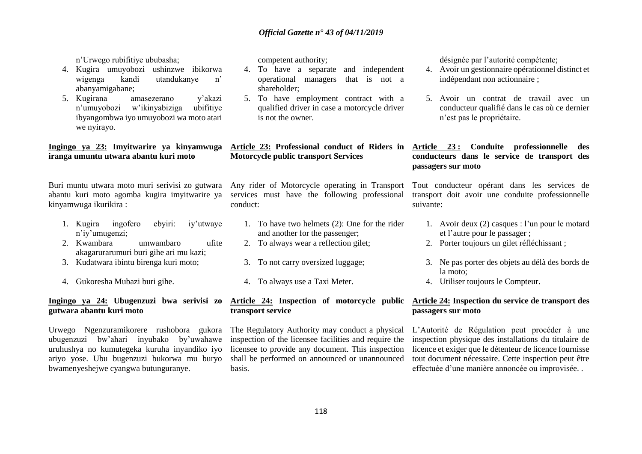n'Urwego rubifitiye ububasha;

- 4. Kugira umuyobozi ushinzwe ibikorwa wigenga kandi utandukanye n' abanyamigabane;
- 5. Kugirana amasezerano y'akazi n'umuyobozi w'ikinyabiziga ubifitiye ibyangombwa iyo umuyobozi wa moto atari we nyirayo.

#### **Ingingo ya 23: Imyitwarire ya kinyamwuga iranga umuntu utwara abantu kuri moto**

Buri muntu utwara moto muri serivisi zo gutwara abantu kuri moto agomba kugira imyitwarire ya kinyamwuga ikurikira :

- 1. Kugira ingofero ebyiri: iy'utwaye n'iy'umugenzi;
- 2. Kwambara umwambaro ufite akagarurarumuri buri gihe ari mu kazi;
- 3. Kudatwara ibintu birenga kuri moto;
- 4. Gukoresha Mubazi buri gihe.

### **Ingingo ya 24: Ubugenzuzi bwa serivisi zo gutwara abantu kuri moto**

Urwego Ngenzuramikorere rushobora gukora ubugenzuzi bw'ahari inyubako by'uwahawe uruhushya no kumutegeka kuruha inyandiko iyo ariyo yose. Ubu bugenzuzi bukorwa mu buryo bwamenyeshejwe cyangwa butunguranye.

competent authority;

- 4. To have a separate and independent operational managers that is not a shareholder;
- 5. To have employment contract with a qualified driver in case a motorcycle driver is not the owner.

#### **Article 23: Professional conduct of Riders in Motorcycle public transport Services**

Any rider of Motorcycle operating in Transport services must have the following professional conduct:

- 1. To have two helmets (2): One for the rider and another for the passenger;
- 2. To always wear a reflection gilet;
- 3. To not carry oversized luggage;
- 4. To always use a Taxi Meter.

# **transport service**

The Regulatory Authority may conduct a physical inspection of the licensee facilities and require the licensee to provide any document. This inspection shall be performed on announced or unannounced basis.

désignée par l'autorité compétente;

- 4. Avoir un gestionnaire opérationnel distinct et indépendant non actionnaire ;
- 5. Avoir un contrat de travail avec un conducteur qualifié dans le cas où ce dernier n'est pas le propriétaire.

#### **Article 23 : Conduite professionnelle des conducteurs dans le service de transport des passagers sur moto**

Tout conducteur opérant dans les services de transport doit avoir une conduite professionnelle suivante:

- 1. Avoir deux (2) casques : l'un pour le motard et l'autre pour le passager ;
- 2. Porter toujours un gilet réfléchissant ;
- 3. Ne pas porter des objets au délà des bords de la moto;
- 4. Utiliser toujours le Compteur.

#### **Article 24: Inspection of motorcycle public Article 24: Inspection du service de transport des passagers sur moto**

L'Autorité de Régulation peut procéder à une inspection physique des installations du titulaire de licence et exiger que le détenteur de licence fournisse tout document nécessaire. Cette inspection peut être effectuée d'une manière annoncée ou improvisée. .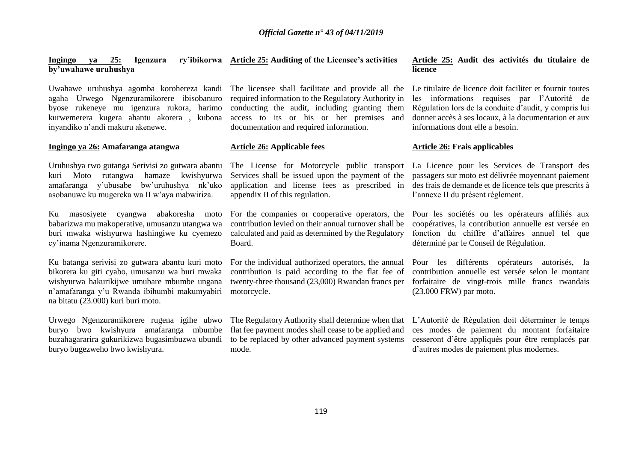#### **Ingingo ya 25: Igenzura ry'ibikorwa by'uwahawe uruhushya**

Uwahawe uruhushya agomba korohereza kandi agaha Urwego Ngenzuramikorere ibisobanuro byose rukeneye mu igenzura rukora, harimo kurwemerera kugera ahantu akorera , kubona inyandiko n'andi makuru akenewe.

#### **Ingingo ya 26:** Amafaranga atangwa **Article 26:** Applicable fees **Article 26:** Frais applicables

Uruhushya rwo gutanga Serivisi zo gutwara abantu kuri Moto rutangwa hamaze kwishyurwa amafaranga y'ubusabe bw'uruhushya nk'uko asobanuwe ku mugereka wa II w'aya mabwiriza.

Ku masosiyete cyangwa abakoresha moto babarizwa mu makoperative, umusanzu utangwa wa buri mwaka wishyurwa hashingiwe ku cyemezo cy'inama Ngenzuramikorere.

Ku batanga serivisi zo gutwara abantu kuri moto bikorera ku giti cyabo, umusanzu wa buri mwaka wishyurwa hakurikijwe umubare mbumbe ungana n'amafaranga y'u Rwanda ibihumbi makumyabiri na bitatu (23.000) kuri buri moto.

Urwego Ngenzuramikorere rugena igihe ubwo buryo bwo kwishyura amafaranga mbumbe buzahagararira gukurikizwa bugasimbuzwa ubundi buryo bugezweho bwo kwishyura.

The licensee shall facilitate and provide all the required information to the Regulatory Authority in conducting the audit, including granting them access to its or his or her premises and documentation and required information.

Services shall be issued upon the payment of the application and license fees as prescribed in appendix II of this regulation.

For the companies or cooperative operators, the contribution levied on their annual turnover shall be calculated and paid as determined by the Regulatory Board.

For the individual authorized operators, the annual contribution is paid according to the flat fee of twenty-three thousand (23,000) Rwandan francs per motorcycle.

The Regulatory Authority shall determine when that L'Autorité de Régulation doit déterminer le temps flat fee payment modes shall cease to be applied and to be replaced by other advanced payment systems mode.

#### **Article 25: Auditing of the Licensee's activities Article 25: Audit des activités du titulaire de licence**

Le titulaire de licence doit faciliter et fournir toutes les informations requises par l'Autorité de Régulation lors de la conduite d'audit, y compris lui donner accès à ses locaux, à la documentation et aux informations dont elle a besoin.

The License for Motorcycle public transport La Licence pour les Services de Transport des passagers sur moto est délivrée moyennant paiement des frais de demande et de licence tels que prescrits à l'annexe II du présent règlement.

> Pour les sociétés ou les opérateurs affiliés aux coopératives, la contribution annuelle est versée en fonction du chiffre d'affaires annuel tel que déterminé par le Conseil de Régulation.

> Pour les différents opérateurs autorisés, la contribution annuelle est versée selon le montant forfaitaire de vingt-trois mille francs rwandais (23.000 FRW) par moto.

> ces modes de paiement du montant forfaitaire cesseront d'être appliqués pour être remplacés par d'autres modes de paiement plus modernes.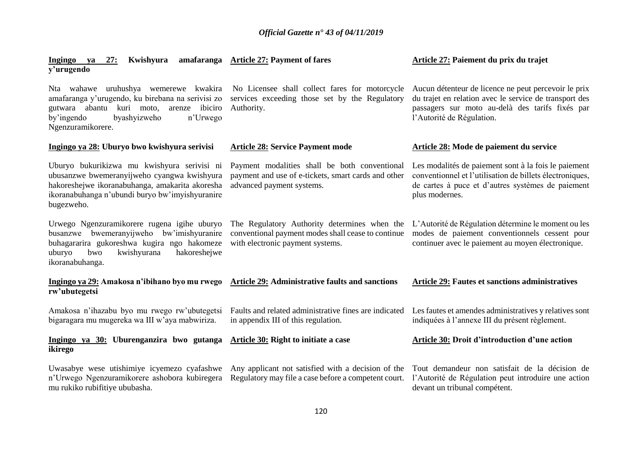| 27:<br>Ingingo<br>ya<br>y'urugendo                                                                                                                                                                             | Kwishyura amafaranga Article 27: Payment of fares                                                                                      | Article 27: Paiement du prix du trajet                                                                                                                                                         |
|----------------------------------------------------------------------------------------------------------------------------------------------------------------------------------------------------------------|----------------------------------------------------------------------------------------------------------------------------------------|------------------------------------------------------------------------------------------------------------------------------------------------------------------------------------------------|
| Nta wahawe uruhushya wemerewe kwakira<br>amafaranga y'urugendo, ku birebana na serivisi zo<br>arenze ibiciro<br>gutwara abantu kuri moto,<br>by'ingendo<br>byashyizweho<br>n'Urwego<br>Ngenzuramikorere.       | No Licensee shall collect fares for motorcycle<br>services exceeding those set by the Regulatory<br>Authority.                         | Aucun détenteur de licence ne peut percevoir le prix<br>du trajet en relation avec le service de transport des<br>passagers sur moto au-delà des tarifs fixés par<br>l'Autorité de Régulation. |
| Ingingo ya 28: Uburyo bwo kwishyura serivisi                                                                                                                                                                   | <b>Article 28: Service Payment mode</b>                                                                                                | Article 28: Mode de paiement du service                                                                                                                                                        |
| Uburyo bukurikizwa mu kwishyura serivisi ni<br>ubusanzwe bwemeranyijweho cyangwa kwishyura<br>hakoreshejwe ikoranabuhanga, amakarita akoresha<br>ikoranabuhanga n'ubundi buryo bw'imyishyuranire<br>bugezweho. | Payment modalities shall be both conventional<br>payment and use of e-tickets, smart cards and other<br>advanced payment systems.      | Les modalités de paiement sont à la fois le paiement<br>conventionnel et l'utilisation de billets électroniques,<br>de cartes à puce et d'autres systèmes de paiement<br>plus modernes.        |
| Urwego Ngenzuramikorere rugena igihe uburyo<br>busanzwe bwemeranyijweho bw'imishyuranire<br>buhagararira gukoreshwa kugira ngo hakomeze<br>uburyo<br>kwishyurana<br>hakoreshejwe<br>bwo<br>ikoranabuhanga.     | The Regulatory Authority determines when the<br>conventional payment modes shall cease to continue<br>with electronic payment systems. | L'Autorité de Régulation détermine le moment ou les<br>modes de paiement conventionnels cessent pour<br>continuer avec le paiement au moyen électronique.                                      |
| Ingingo ya 29: Amakosa n'ibihano byo mu rwego Article 29: Administrative faults and sanctions<br>rw'ubutegetsi                                                                                                 |                                                                                                                                        | <b>Article 29: Fautes et sanctions administratives</b>                                                                                                                                         |
| Amakosa n'ihazabu byo mu rwego rw'ubutegetsi<br>bigaragara mu mugereka wa III w'aya mabwiriza.                                                                                                                 | Faults and related administrative fines are indicated<br>in appendix III of this regulation.                                           | Les fautes et amendes administratives y relatives sont<br>indiquées à l'annexe III du présent règlement.                                                                                       |
| Ingingo ya 30: Uburenganzira bwo gutanga<br>ikirego                                                                                                                                                            | Article 30: Right to initiate a case                                                                                                   | Article 30: Droit d'introduction d'une action                                                                                                                                                  |
| Uwasabye wese utishimiye icyemezo cyafashwe<br>n'Urwego Ngenzuramikorere ashobora kubiregera<br>mu rukiko rubifitiye ububasha.                                                                                 | Any applicant not satisfied with a decision of the<br>Regulatory may file a case before a competent court.                             | Tout demandeur non satisfait de la décision de<br>l'Autorité de Régulation peut introduire une action<br>devant un tribunal compétent.                                                         |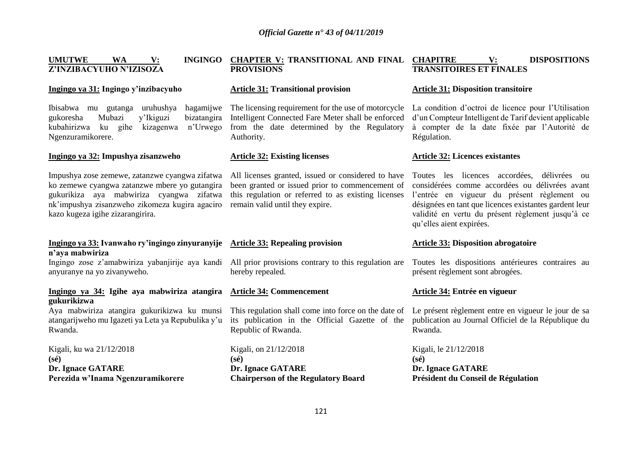| <b>UMUTWE</b><br>WA<br><b>INGINGO</b><br>$\mathbf{V}$ :<br>Z'INZIBACYUHO N'IZISOZA                                                                                                                                                | <b>CHAPTER V: TRANSITIONAL AND FINAL CHAPITRE</b><br><b>PROVISIONS</b>                                                                                                                          | <b>DISPOSITIONS</b><br>$\mathbf{V}$ :<br><b>TRANSITOIRES ET FINALES</b>                                                                                                                                                                                                                 |  |
|-----------------------------------------------------------------------------------------------------------------------------------------------------------------------------------------------------------------------------------|-------------------------------------------------------------------------------------------------------------------------------------------------------------------------------------------------|-----------------------------------------------------------------------------------------------------------------------------------------------------------------------------------------------------------------------------------------------------------------------------------------|--|
| Ingingo ya 31: Ingingo y'inzibacyuho                                                                                                                                                                                              | <b>Article 31: Transitional provision</b>                                                                                                                                                       | <b>Article 31: Disposition transitoire</b>                                                                                                                                                                                                                                              |  |
| Ibisabwa mu gutanga<br>uruhushya<br>hagamijwe<br>bizatangira<br>Mubazi<br>y'Ikiguzi<br>gukoresha<br>n'Urwego<br>kubahirizwa<br>kizagenwa<br>ku<br>gihe<br>Ngenzuramikorere.                                                       | The licensing requirement for the use of motorcycle<br>Intelligent Connected Fare Meter shall be enforced<br>from the date determined by the Regulatory<br>Authority.                           | La condition d'octroi de licence pour l'Utilisation<br>d'un Compteur Intelligent de Tarif devient applicable<br>à compter de la date fixée par l'Autorité de<br>Régulation.                                                                                                             |  |
| Ingingo ya 32: Impushya zisanzweho                                                                                                                                                                                                | <b>Article 32: Existing licenses</b>                                                                                                                                                            | <b>Article 32: Licences existantes</b>                                                                                                                                                                                                                                                  |  |
| Impushya zose zemewe, zatanzwe cyangwa zifatwa<br>ko zemewe cyangwa zatanzwe mbere yo gutangira<br>gukurikiza aya mabwiriza cyangwa zifatwa<br>nk'impushya zisanzweho zikomeza kugira agaciro<br>kazo kugeza igihe zizarangirira. | All licenses granted, issued or considered to have<br>been granted or issued prior to commencement of<br>this regulation or referred to as existing licenses<br>remain valid until they expire. | Toutes les licences accordées, délivrées ou<br>considérées comme accordées ou délivrées avant<br>l'entrée en vigueur du présent règlement ou<br>désignées en tant que licences existantes gardent leur<br>validité en vertu du présent règlement jusqu'à ce<br>qu'elles aient expirées. |  |
| Ingingo ya 33: Ivanwaho ry'ingingo zinyuranyije<br>n'aya mabwiriza                                                                                                                                                                | <b>Article 33: Repealing provision</b>                                                                                                                                                          | <b>Article 33: Disposition abrogatoire</b>                                                                                                                                                                                                                                              |  |
| Ingingo zose z'amabwiriza yabanjirije aya kandi<br>anyuranye na yo zivanyweho.                                                                                                                                                    | All prior provisions contrary to this regulation are<br>hereby repealed.                                                                                                                        | Toutes les dispositions antérieures contraires au<br>présent règlement sont abrogées.                                                                                                                                                                                                   |  |
| Ingingo ya 34: Igihe aya mabwiriza atangira<br>gukurikizwa                                                                                                                                                                        | <b>Article 34: Commencement</b>                                                                                                                                                                 | Article 34: Entrée en vigueur                                                                                                                                                                                                                                                           |  |
| Aya mabwiriza atangira gukurikizwa ku munsi<br>atangarijweho mu Igazeti ya Leta ya Repubulika y'u<br>Rwanda.                                                                                                                      | This regulation shall come into force on the date of<br>its publication in the Official Gazette of the<br>Republic of Rwanda.                                                                   | Le présent règlement entre en vigueur le jour de sa<br>publication au Journal Officiel de la République du<br>Rwanda.                                                                                                                                                                   |  |
| Kigali, ku wa 21/12/2018<br>$(s\acute{e})$                                                                                                                                                                                        | Kigali, on 21/12/2018<br>$(s\acute{e})$                                                                                                                                                         | Kigali, le 21/12/2018<br>$(s\acute{e})$                                                                                                                                                                                                                                                 |  |
| Dr. Ignace GATARE<br>Perezida w'Inama Ngenzuramikorere                                                                                                                                                                            | <b>Dr. Ignace GATARE</b><br><b>Chairperson of the Regulatory Board</b>                                                                                                                          | Dr. Ignace GATARE<br>Président du Conseil de Régulation                                                                                                                                                                                                                                 |  |
|                                                                                                                                                                                                                                   |                                                                                                                                                                                                 |                                                                                                                                                                                                                                                                                         |  |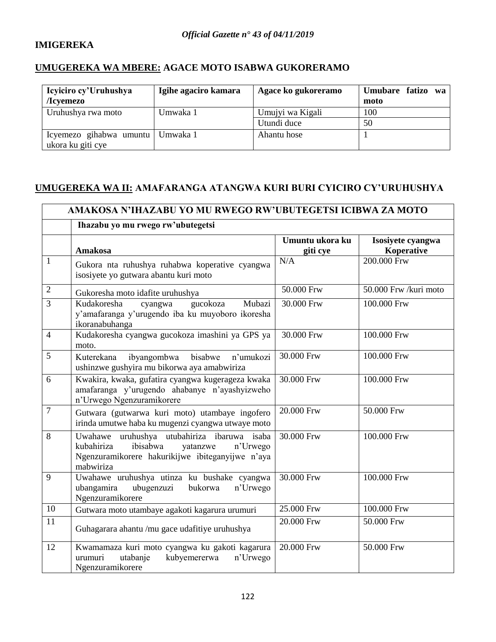# **IMIGEREKA**

# **UMUGEREKA WA MBERE: AGACE MOTO ISABWA GUKORERAMO**

| Icyiciro cy'Uruhushya<br>/Icyemezo                      | Igihe agaciro kamara | Agace ko gukoreramo | Umubare fatizo wa<br>moto |
|---------------------------------------------------------|----------------------|---------------------|---------------------------|
| Uruhushya rwa moto                                      | Umwaka 1             | Umujyi wa Kigali    | 100                       |
|                                                         |                      | Utundi duce         | 50                        |
| Icyemezo gihabwa umuntu   Umwaka 1<br>ukora ku giti cye |                      | Ahantu hose         |                           |

# **UMUGEREKA WA II: AMAFARANGA ATANGWA KURI BURI CYICIRO CY'URUHUSHYA**

|                | AMAKOSA N'IHAZABU YO MU RWEGO RW'UBUTEGETSI ICIBWA ZA MOTO                                                                                                     |                             |                                 |  |
|----------------|----------------------------------------------------------------------------------------------------------------------------------------------------------------|-----------------------------|---------------------------------|--|
|                | Ihazabu yo mu rwego rw'ubutegetsi                                                                                                                              |                             |                                 |  |
|                | Amakosa                                                                                                                                                        | Umuntu ukora ku<br>giti cye | Isosiyete cyangwa<br>Koperative |  |
| $\mathbf{1}$   | Gukora nta ruhushya ruhabwa koperative cyangwa<br>isosiyete yo gutwara abantu kuri moto                                                                        | N/A                         | 200.000 Frw                     |  |
| $\overline{2}$ | Gukoresha moto idafite uruhushya                                                                                                                               | 50.000 Frw                  | 50.000 Frw /kuri moto           |  |
| $\overline{3}$ | Kudakoresha<br>gucokoza<br>Mubazi<br>cyangwa<br>y'amafaranga y'urugendo iba ku muyoboro ikoresha<br>ikoranabuhanga                                             | 30.000 Frw                  | 100.000 Frw                     |  |
| $\overline{4}$ | Kudakoresha cyangwa gucokoza imashini ya GPS ya<br>moto.                                                                                                       | 30.000 Frw                  | 100.000 Frw                     |  |
| 5              | ibyangombwa bisabwe<br>n'umukozi<br>Kuterekana<br>ushinzwe gushyira mu bikorwa aya amabwiriza                                                                  | 30.000 Frw                  | $100.000$ Frw                   |  |
| 6              | Kwakira, kwaka, gufatira cyangwa kugerageza kwaka<br>amafaranga y'urugendo ahabanye n'ayashyizweho<br>n'Urwego Ngenzuramikorere                                | 30.000 Frw                  | 100.000 Frw                     |  |
| 7              | Gutwara (gutwarwa kuri moto) utambaye ingofero<br>irinda umutwe haba ku mugenzi cyangwa utwaye moto                                                            | 20.000 Frw                  | 50.000 Frw                      |  |
| 8              | Uwahawe uruhushya utubahiriza ibaruwa isaba<br>ibisabwa<br>kubahiriza<br>n'Urwego<br>yatanzwe<br>Ngenzuramikorere hakurikijwe ibiteganyijwe n'aya<br>mabwiriza | 30.000 Frw                  | 100.000 Frw                     |  |
| 9              | Uwahawe uruhushya utinza ku bushake cyangwa<br>ubugenzuzi<br>bukorwa<br>ubangamira<br>n'Urwego<br>Ngenzuramikorere                                             | 30.000 Frw                  | 100.000 Frw                     |  |
| 10             | Gutwara moto utambaye agakoti kagarura urumuri                                                                                                                 | 25.000 Frw                  | 100.000 Frw                     |  |
| 11             | Guhagarara ahantu /mu gace udafitiye uruhushya                                                                                                                 | 20.000 Frw                  | 50.000 Frw                      |  |
| 12             | Kwamamaza kuri moto cyangwa ku gakoti kagarura<br>kubyemererwa<br>urumuri<br>utabanje<br>n'Urwego<br>Ngenzuramikorere                                          | 20.000 Frw                  | 50.000 Frw                      |  |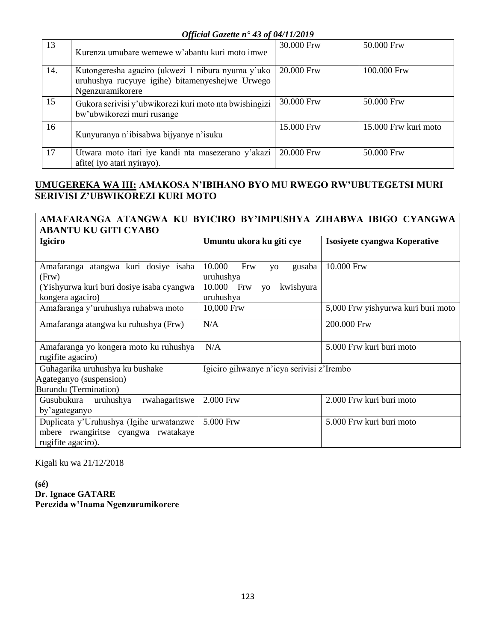| 13  | Kurenza umubare wemewe w'abantu kuri moto imwe                                                                           | 30.000 Frw | 50.000 Frw           |  |
|-----|--------------------------------------------------------------------------------------------------------------------------|------------|----------------------|--|
| 14. | Kutongeresha agaciro (ukwezi 1 nibura nyuma y'uko<br>uruhushya rucyuye igihe) bitamenyeshejwe Urwego<br>Ngenzuramikorere | 20.000 Frw | 100.000 Frw          |  |
| 15  | Gukora serivisi y'ubwikorezi kuri moto nta bwishingizi<br>bw'ubwikorezi muri rusange                                     | 30.000 Frw | 50.000 Frw           |  |
| 16  | Kunyuranya n'ibisabwa bijyanye n'isuku                                                                                   | 15.000 Frw | 15.000 Frw kuri moto |  |
| 17  | Utwara moto itari iye kandi nta masezerano y'akazi<br>afite(iyo atari nyirayo).                                          | 20.000 Frw | 50.000 Frw           |  |

# **UMUGEREKA WA III: AMAKOSA N'IBIHANO BYO MU RWEGO RW'UBUTEGETSI MURI SERIVISI Z'UBWIKOREZI KURI MOTO**

## **AMAFARANGA ATANGWA KU BYICIRO BY'IMPUSHYA ZIHABWA IBIGO CYANGWA ABANTU KU GITI CYABO**

| Igiciro                                                                                                        | Umuntu ukora ku giti cye                                                                               | Isosiyete cyangwa Koperative       |
|----------------------------------------------------------------------------------------------------------------|--------------------------------------------------------------------------------------------------------|------------------------------------|
| Amafaranga atangwa kuri dosiye isaba<br>(Frw)<br>(Yishyurwa kuri buri dosiye isaba cyangwa<br>kongera agaciro) | 10.000<br>Frw<br>gusaba<br><b>VO</b><br>uruhushya<br>10.000 Frw<br>kwishyura<br><b>VO</b><br>uruhushya | 10.000 Frw                         |
| Amafaranga y'uruhushya ruhabwa moto                                                                            | 10,000 Frw                                                                                             | 5,000 Frw yishyurwa kuri buri moto |
| Amafaranga atangwa ku ruhushya (Frw)                                                                           | N/A                                                                                                    | 200.000 Frw                        |
| Amafaranga yo kongera moto ku ruhushya<br>rugifite agaciro)                                                    | N/A                                                                                                    | 5.000 Frw kuri buri moto           |
| Guhagarika uruhushya ku bushake<br>Agateganyo (suspension)<br><b>Burundu</b> (Termination)                     | Igiciro gihwanye n'icya serivisi z'Irembo                                                              |                                    |
| rwahagaritswe<br>Gusubukura uruhushya<br>by'agateganyo                                                         | 2.000 Frw                                                                                              | 2.000 Frw kuri buri moto           |
| Duplicata y'Uruhushya (Igihe urwatanzwe<br>mbere rwangiritse cyangwa rwatakaye<br>rugifite agaciro).           | 5.000 Frw                                                                                              | 5.000 Frw kuri buri moto           |

Kigali ku wa 21/12/2018

**(sé) Dr. Ignace GATARE Perezida w'Inama Ngenzuramikorere**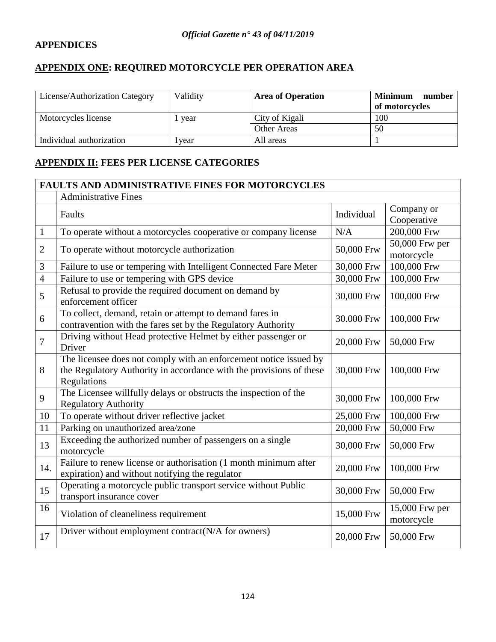# **APPENDICES**

# **APPENDIX ONE: REQUIRED MOTORCYCLE PER OPERATION AREA**

| License/Authorization Category | Validity | <b>Area of Operation</b> | <b>Minimum</b><br>number<br>of motorcycles |
|--------------------------------|----------|--------------------------|--------------------------------------------|
| Motorcycles license            | vear     | City of Kigali           | 100                                        |
|                                |          | <b>Other Areas</b>       | 50                                         |
| Individual authorization       | l vear   | All areas                |                                            |

# **APPENDIX II: FEES PER LICENSE CATEGORIES**

|                | <b>FAULTS AND ADMINISTRATIVE FINES FOR MOTORCYCLES</b>                                                                                                  |            |                              |  |
|----------------|---------------------------------------------------------------------------------------------------------------------------------------------------------|------------|------------------------------|--|
|                | <b>Administrative Fines</b>                                                                                                                             |            |                              |  |
|                | Faults                                                                                                                                                  | Individual | Company or<br>Cooperative    |  |
| $\mathbf{1}$   | To operate without a motorcycles cooperative or company license                                                                                         | N/A        | 200,000 Frw                  |  |
| 2              | To operate without motorcycle authorization                                                                                                             | 50,000 Frw | 50,000 Frw per<br>motorcycle |  |
| 3              | Failure to use or tempering with Intelligent Connected Fare Meter                                                                                       | 30,000 Frw | 100,000 Frw                  |  |
| $\overline{4}$ | Failure to use or tempering with GPS device                                                                                                             | 30,000 Frw | 100,000 Frw                  |  |
| 5              | Refusal to provide the required document on demand by<br>enforcement officer                                                                            | 30,000 Frw | 100,000 Frw                  |  |
| 6              | To collect, demand, retain or attempt to demand fares in<br>contravention with the fares set by the Regulatory Authority                                | 30.000 Frw | 100,000 Frw                  |  |
| 7              | Driving without Head protective Helmet by either passenger or<br>Driver                                                                                 | 20,000 Frw | 50,000 Frw                   |  |
| 8              | The licensee does not comply with an enforcement notice issued by<br>the Regulatory Authority in accordance with the provisions of these<br>Regulations | 30,000 Frw | 100,000 Frw                  |  |
| 9              | The Licensee willfully delays or obstructs the inspection of the<br><b>Regulatory Authority</b>                                                         | 30,000 Frw | 100,000 Frw                  |  |
| 10             | To operate without driver reflective jacket                                                                                                             | 25,000 Frw | 100,000 Frw                  |  |
| 11             | Parking on unauthorized area/zone                                                                                                                       | 20,000 Frw | 50,000 Frw                   |  |
| 13             | Exceeding the authorized number of passengers on a single<br>motorcycle                                                                                 | 30,000 Frw | 50,000 Frw                   |  |
| 14.            | Failure to renew license or authorisation (1 month minimum after<br>expiration) and without notifying the regulator                                     | 20,000 Frw | 100,000 Frw                  |  |
| 15             | Operating a motorcycle public transport service without Public<br>transport insurance cover                                                             | 30,000 Frw | 50,000 Frw                   |  |
| 16             | Violation of cleaneliness requirement                                                                                                                   | 15,000 Frw | 15,000 Frw per<br>motorcycle |  |
| 17             | Driver without employment contract(N/A for owners)                                                                                                      | 20,000 Frw | 50,000 Frw                   |  |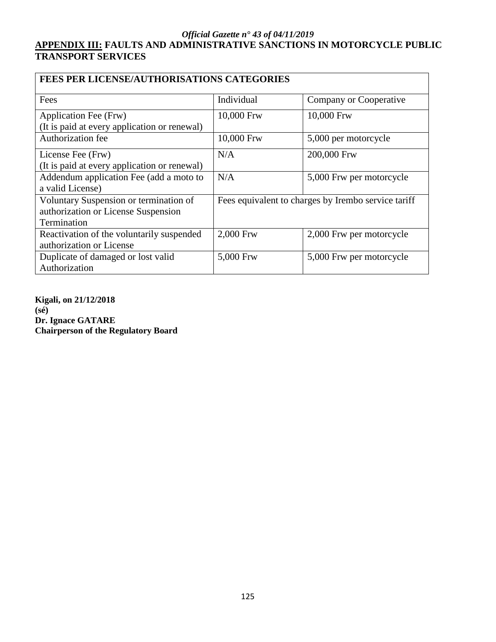# **APPENDIX III: FAULTS AND ADMINISTRATIVE SANCTIONS IN MOTORCYCLE PUBLIC TRANSPORT SERVICES**

| <b>FEES PER LICENSE/AUTHORISATIONS CATEGORIES</b> |                                                     |                          |  |
|---------------------------------------------------|-----------------------------------------------------|--------------------------|--|
| Fees                                              | Individual                                          | Company or Cooperative   |  |
| Application Fee (Frw)                             | 10,000 Frw                                          | 10,000 Frw               |  |
| (It is paid at every application or renewal)      |                                                     |                          |  |
| <b>Authorization fee</b>                          | 10,000 Frw                                          | 5,000 per motorcycle     |  |
| License Fee (Frw)                                 | N/A                                                 | 200,000 Frw              |  |
| (It is paid at every application or renewal)      |                                                     |                          |  |
| Addendum application Fee (add a moto to           | N/A                                                 | 5,000 Frw per motorcycle |  |
| a valid License)                                  |                                                     |                          |  |
| Voluntary Suspension or termination of            | Fees equivalent to charges by Irembo service tariff |                          |  |
| authorization or License Suspension               |                                                     |                          |  |
| Termination                                       |                                                     |                          |  |
| Reactivation of the voluntarily suspended         | 2,000 Frw                                           | 2,000 Frw per motorcycle |  |
| authorization or License                          |                                                     |                          |  |
| Duplicate of damaged or lost valid                | 5,000 Frw                                           | 5,000 Frw per motorcycle |  |
| Authorization                                     |                                                     |                          |  |

**Kigali, on 21/12/2018 (sé) Dr. Ignace GATARE Chairperson of the Regulatory Board**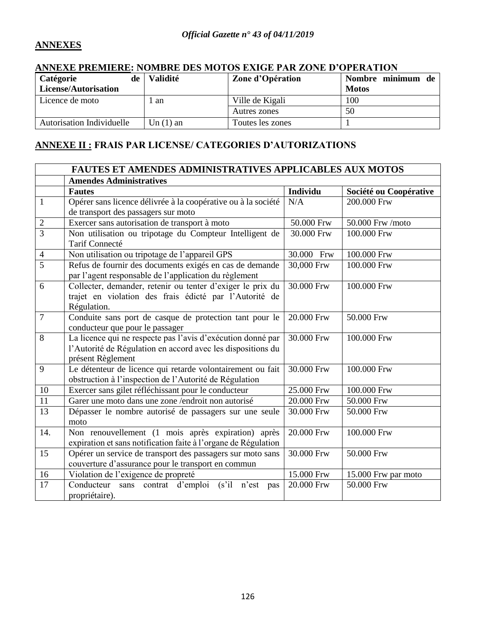# **ANNEXES**

## **ANNEXE PREMIERE: NOMBRE DES MOTOS EXIGE PAR ZONE D'OPERATION**

| <b>Catégorie</b><br>de           | <b>Validité</b> | Zone d'Opération | Nombre minimum de |
|----------------------------------|-----------------|------------------|-------------------|
| License/Autorisation             |                 |                  | <b>Motos</b>      |
| Licence de moto                  | 1 an            | Ville de Kigali  | 100               |
|                                  |                 | Autres zones     | 50                |
| <b>Autorisation Individuelle</b> | Un $(1)$ an     | Toutes les zones |                   |

# **ANNEXE II : FRAIS PAR LICENSE/ CATEGORIES D'AUTORIZATIONS**

|                | FAUTES ET AMENDES ADMINISTRATIVES APPLICABLES AUX MOTOS                   |                         |                        |  |  |
|----------------|---------------------------------------------------------------------------|-------------------------|------------------------|--|--|
|                | <b>Amendes Administratives</b>                                            |                         |                        |  |  |
|                | <b>Fautes</b>                                                             | Individu                | Société ou Coopérative |  |  |
| $\mathbf{1}$   | Opérer sans licence délivrée à la coopérative ou à la société             | N/A                     | 200.000 Frw            |  |  |
|                | de transport des passagers sur moto                                       |                         |                        |  |  |
| $\overline{2}$ | Exercer sans autorisation de transport à moto                             | 50.000 Frw              | 50.000 Frw /moto       |  |  |
| $\overline{3}$ | Non utilisation ou tripotage du Compteur Intelligent de<br>Tarif Connecté | $\overline{30.000}$ Frw | 100.000 Frw            |  |  |
| $\overline{4}$ | Non utilisation ou tripotage de l'appareil GPS                            | 30.000 Frw              | 100.000 Frw            |  |  |
| 5              | Refus de fournir des documents exigés en cas de demande                   | 30,000 Frw              | 100.000 Frw            |  |  |
|                | par l'agent responsable de l'application du règlement                     |                         |                        |  |  |
| 6              | Collecter, demander, retenir ou tenter d'exiger le prix du                | 30.000 Frw              | 100.000 Frw            |  |  |
|                | trajet en violation des frais édicté par l'Autorité de                    |                         |                        |  |  |
|                | Régulation.                                                               |                         |                        |  |  |
| $\overline{7}$ | Conduite sans port de casque de protection tant pour le                   | 20.000 Frw              | 50.000 Frw             |  |  |
|                | conducteur que pour le passager                                           |                         |                        |  |  |
| 8              | La licence qui ne respecte pas l'avis d'exécution donné par               | 30.000 Frw              | 100.000 Frw            |  |  |
|                | l'Autorité de Régulation en accord avec les dispositions du               |                         |                        |  |  |
|                | présent Règlement                                                         |                         |                        |  |  |
| 9              | Le détenteur de licence qui retarde volontairement ou fait                | 30.000 Frw              | 100.000 Frw            |  |  |
|                | obstruction à l'inspection de l'Autorité de Régulation                    |                         |                        |  |  |
| 10             | Exercer sans gilet réfléchissant pour le conducteur                       | 25.000 Frw              | 100.000 Frw            |  |  |
| 11             | Garer une moto dans une zone /endroit non autorisé                        | 20.000 Frw              | 50.000 Frw             |  |  |
| 13             | Dépasser le nombre autorisé de passagers sur une seule                    | 30.000 Frw              | 50.000 Frw             |  |  |
|                | moto                                                                      |                         |                        |  |  |
| 14.            | Non renouvellement (1 mois après expiration) après                        | 20.000 Frw              | 100.000 Frw            |  |  |
|                | expiration et sans notification faite à l'organe de Régulation            |                         |                        |  |  |
| 15             | Opérer un service de transport des passagers sur moto sans                | 30.000 Frw              | 50.000 Frw             |  |  |
|                | couverture d'assurance pour le transport en commun                        |                         |                        |  |  |
| 16             | Violation de l'exigence de propreté                                       | 15.000 Frw              | 15.000 Frw par moto    |  |  |
| 17             | Conducteur sans contrat d'emploi (s'il n'est<br>pas                       | 20.000 Frw              | 50.000 Frw             |  |  |
|                | propriétaire).                                                            |                         |                        |  |  |